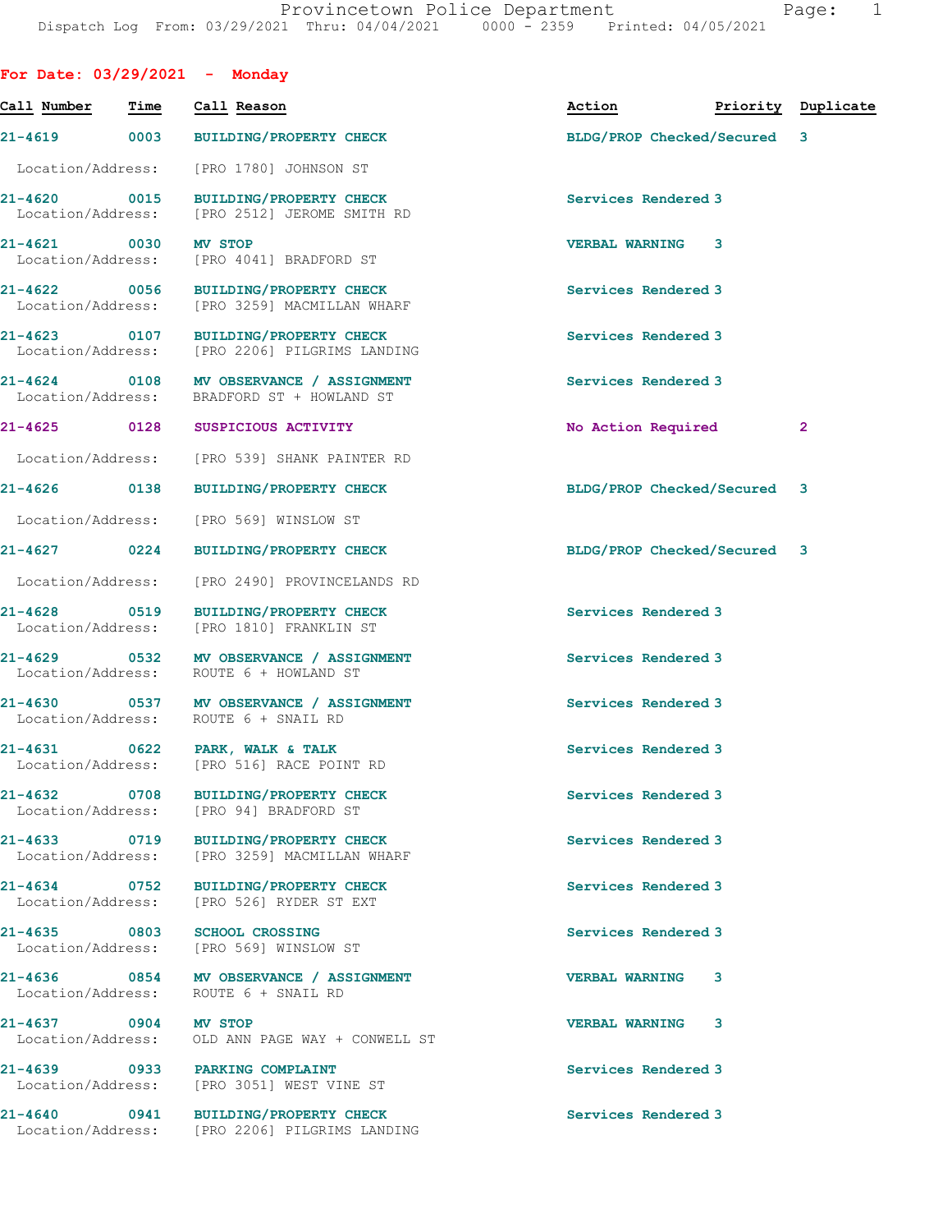| For Date: $03/29/2021$ - Monday   |                   |                                                                                       |                             |                    |
|-----------------------------------|-------------------|---------------------------------------------------------------------------------------|-----------------------------|--------------------|
| Call Number                       | Time              | Call Reason                                                                           | Action                      | Priority Duplicate |
|                                   |                   | 21-4619 0003 BUILDING/PROPERTY CHECK                                                  | BLDG/PROP Checked/Secured 3 |                    |
| Location/Address:                 |                   | [PRO 1780] JOHNSON ST                                                                 |                             |                    |
| 21-4620 0015                      |                   | <b>BUILDING/PROPERTY CHECK</b><br>Location/Address: [PRO 2512] JEROME SMITH RD        | Services Rendered 3         |                    |
| $21 - 4621$ 0030                  |                   | <b>MV STOP</b><br>Location/Address: [PRO 4041] BRADFORD ST                            | <b>VERBAL WARNING 3</b>     |                    |
| 21-4622 0056                      |                   | BUILDING/PROPERTY CHECK<br>Location/Address: [PRO 3259] MACMILLAN WHARF               | Services Rendered 3         |                    |
| 21-4623 0107                      |                   | <b>BUILDING/PROPERTY CHECK</b><br>Location/Address: [PRO 2206] PILGRIMS LANDING       | Services Rendered 3         |                    |
|                                   |                   | 21-4624 0108 MV OBSERVANCE / ASSIGNMENT<br>Location/Address: BRADFORD ST + HOWLAND ST | Services Rendered 3         |                    |
|                                   |                   | 21-4625 0128 SUSPICIOUS ACTIVITY                                                      | No Action Required          | $\mathbf{2}$       |
|                                   |                   | Location/Address: [PRO 539] SHANK PAINTER RD                                          |                             |                    |
| 21-4626 0138                      |                   | <b>BUILDING/PROPERTY CHECK</b>                                                        | BLDG/PROP Checked/Secured 3 |                    |
| Location/Address:                 |                   | [PRO 569] WINSLOW ST                                                                  |                             |                    |
| 21-4627 0224                      |                   | <b>BUILDING/PROPERTY CHECK</b>                                                        | BLDG/PROP Checked/Secured 3 |                    |
| Location/Address:                 |                   | [PRO 2490] PROVINCELANDS RD                                                           |                             |                    |
| 21-4628                           | 0519              | <b>BUILDING/PROPERTY CHECK</b><br>Location/Address: [PRO 1810] FRANKLIN ST            | Services Rendered 3         |                    |
| 21-4629 0532                      |                   | MV OBSERVANCE / ASSIGNMENT<br>Location/Address: ROUTE 6 + HOWLAND ST                  | Services Rendered 3         |                    |
|                                   |                   | 21-4630 0537 MV OBSERVANCE / ASSIGNMENT<br>Location/Address: ROUTE 6 + SNAIL RD       | Services Rendered 3         |                    |
| 21-4631<br>Location/Address:      | $\overline{0622}$ | PARK, WALK & TALK<br>[PRO 516] RACE POINT RD                                          | Services Rendered 3         |                    |
| 21-4632 0708                      |                   | BUILDING/PROPERTY CHECK<br>Location/Address: [PRO 94] BRADFORD ST                     | Services Rendered 3         |                    |
| 21-4633 0719                      |                   | BUILDING/PROPERTY CHECK<br>Location/Address: [PRO 3259] MACMILLAN WHARF               | Services Rendered 3         |                    |
| 21-4634 0752<br>Location/Address: |                   | <b>BUILDING/PROPERTY CHECK</b><br>[PRO 526] RYDER ST EXT                              | Services Rendered 3         |                    |
|                                   |                   | 21-4635 0803 SCHOOL CROSSING<br>Location/Address: [PRO 569] WINSLOW ST                | Services Rendered 3         |                    |
| Location/Address:                 |                   | 21-4636 0854 MV OBSERVANCE / ASSIGNMENT<br>ROUTE 6 + SNAIL RD                         | <b>VERBAL WARNING 3</b>     |                    |
| 21-4637 0904                      |                   | <b>MV STOP</b><br>Location/Address: OLD ANN PAGE WAY + CONWELL ST                     | <b>VERBAL WARNING</b><br>3  |                    |
|                                   |                   | 21-4639 0933 PARKING COMPLAINT<br>Location/Address: [PRO 3051] WEST VINE ST           | Services Rendered 3         |                    |
|                                   |                   | 21-4640 0941 BUILDING/PROPERTY CHECK<br>Location/Address: [PRO 2206] PILGRIMS LANDING | Services Rendered 3         |                    |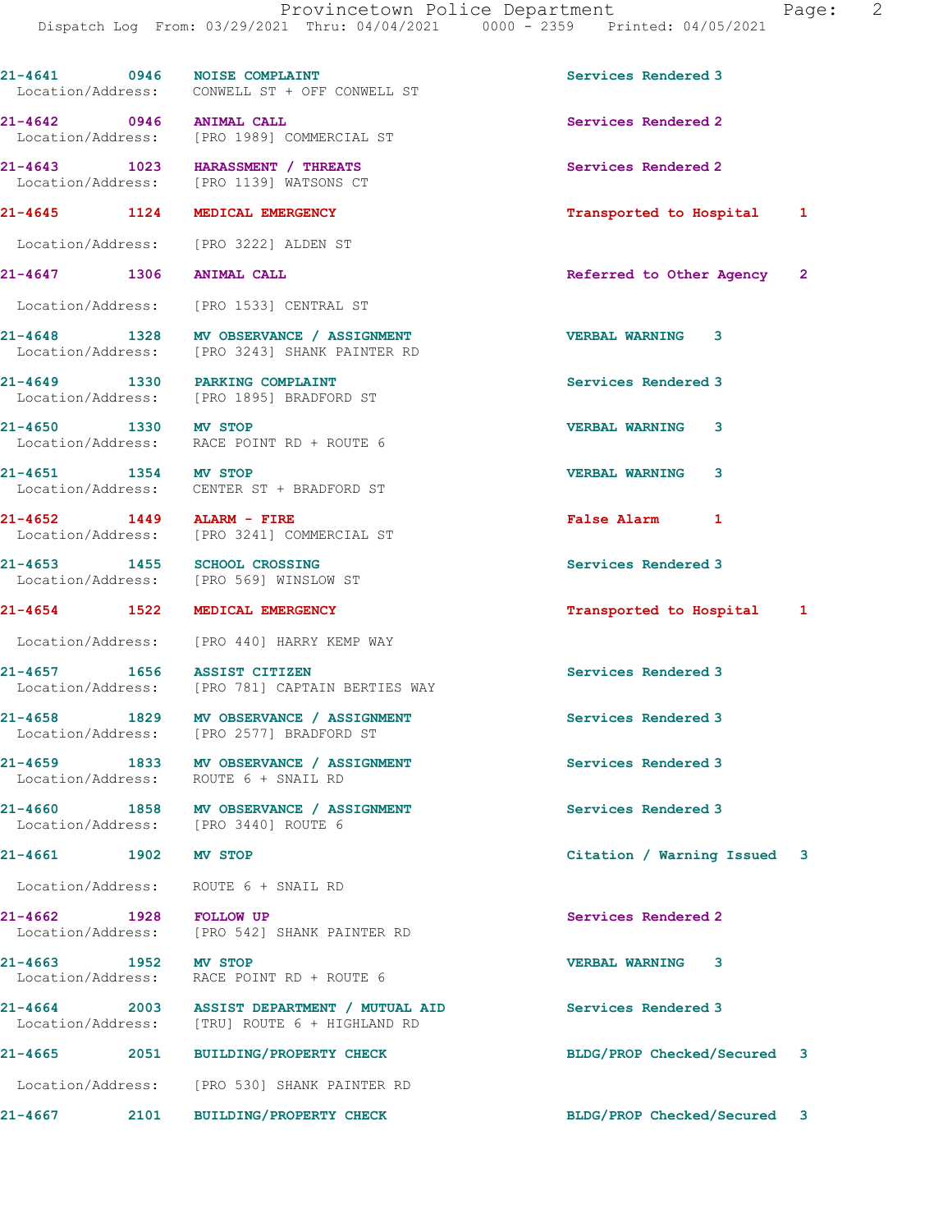21-4641 0946 NOISE COMPLAINT Services Rendered 3

Location/Address: CONWELL ST + OFF CONWELL ST

21-4642 0946 ANIMAL CALL Services Rendered 2 [PRO 1989] COMMERCIAL ST 21-4643 1023 HARASSMENT / THREATS Services Rendered 2 Location/Address: [PRO 1139] WATSONS CT 21-4645 1124 MEDICAL EMERGENCY Transported to Hospital 1 Location/Address: [PRO 3222] ALDEN ST 21-4647 1306 ANIMAL CALL Referred to Other Agency 2 Location/Address: [PRO 1533] CENTRAL ST 21-4648 1328 MV OBSERVANCE / ASSIGNMENT VERBAL WARNING 3 Location/Address: [PRO 3243] SHANK PAINTER RD 21-4649 1330 PARKING COMPLAINT Services Rendered 3 Location/Address: [PRO 1895] BRADFORD ST 21-4650 1330 MV STOP<br>
Location/Address: RACE POINT RD + ROUTE 6 RACE POINT RD + ROUTE 6 21-4651 1354 MV STOP VERBAL WARNING 3 Location/Address: CENTER ST + BRADFORD ST 21-4652 1449 ALARM - FIRE False Alarm 1 Location/Address: [PRO 3241] COMMERCIAL ST 21-4653 1455 SCHOOL CROSSING<br>
Location/Address: [PRO 569] WINSLOW ST [PRO 569] WINSLOW ST 21-4654 1522 MEDICAL EMERGENCY Transported to Hospital 1 Location/Address: [PRO 440] HARRY KEMP WAY 21-4657 1656 ASSIST CITIZEN Services Rendered 3<br>
Location/Address: [PRO 781] CAPTAIN BERTIES WAY [PRO 781] CAPTAIN BERTIES WAY 21-4658 1829 MV OBSERVANCE / ASSIGNMENT Services Rendered 3 Location/Address: [PRO 2577] BRADFORD ST 21-4659 1833 MV OBSERVANCE / ASSIGNMENT Services Rendered 3 Location/Address: ROUTE 6 + SNAIL RD 21-4660 1858 MV OBSERVANCE / ASSIGNMENT Services Rendered 3 Location/Address: [PRO 3440] ROUTE 6 21-4661 1902 MV STOP Citation / Warning Issued 3 Location/Address: ROUTE 6 + SNAIL RD 21-4662 1928 FOLLOW UP Services Rendered 2 Location/Address: [PRO 542] SHANK PAINTER RD 21-4663 1952 MV STOP VERBAL WARNING 3 Location/Address: RACE POINT RD + ROUTE 6 21-4664 2003 ASSIST DEPARTMENT / MUTUAL AID Services Rendered 3<br>
Location/Address: [TRU] ROUTE 6 + HIGHLAND RD [TRU] ROUTE 6 + HIGHLAND RD 21-4665 2051 BUILDING/PROPERTY CHECK BLDG/PROP Checked/Secured 3 Location/Address: [PRO 530] SHANK PAINTER RD 21-4667 2101 BUILDING/PROPERTY CHECK BLDG/PROP Checked/Secured 3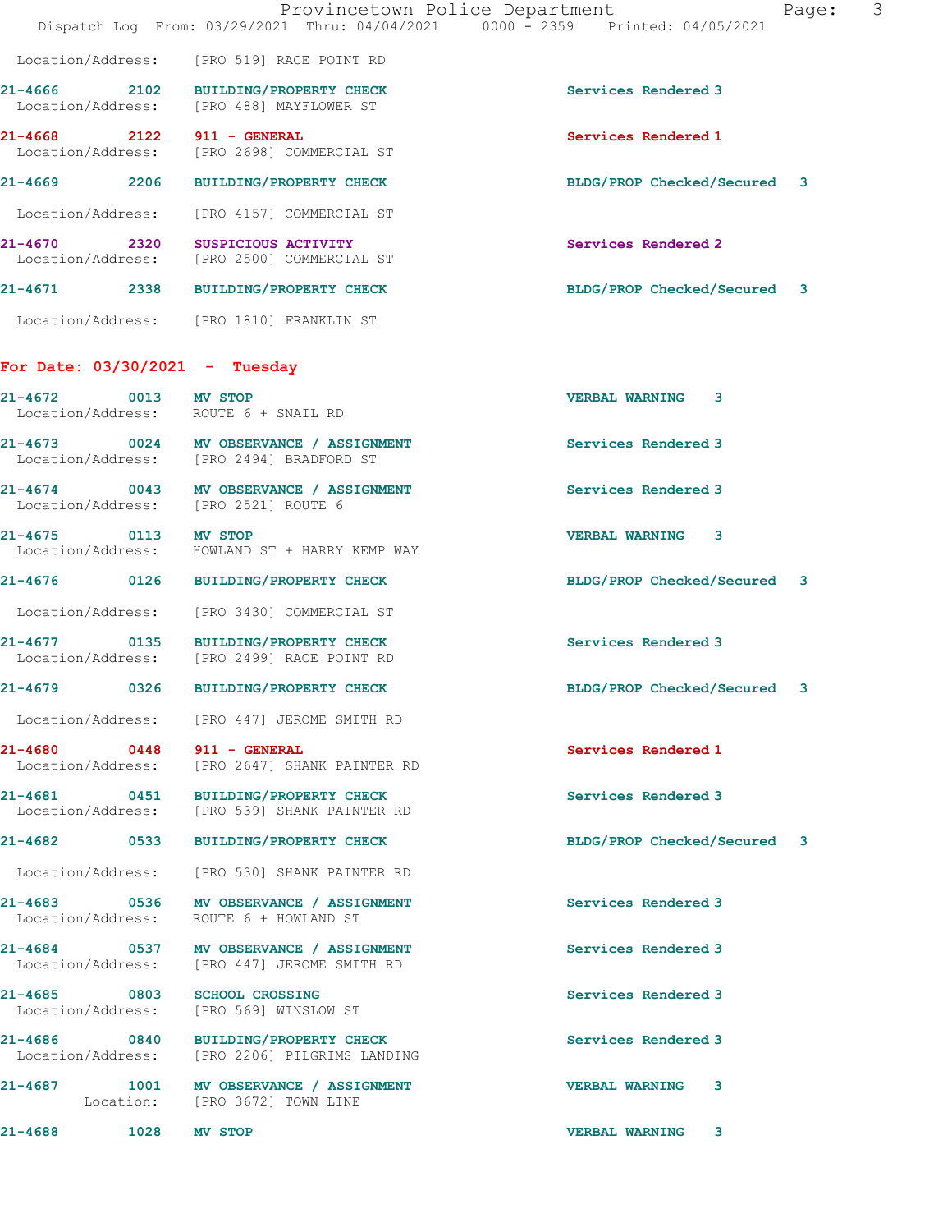|                                      |                                                                                        | Provincetown Police Department<br>3<br>Page:<br>Dispatch Log From: 03/29/2021 Thru: 04/04/2021 0000 - 2359 Printed: 04/05/2021 |
|--------------------------------------|----------------------------------------------------------------------------------------|--------------------------------------------------------------------------------------------------------------------------------|
|                                      | Location/Address: [PRO 519] RACE POINT RD                                              |                                                                                                                                |
|                                      | 21-4666 2102 BUILDING/PROPERTY CHECK<br>Location/Address: [PRO 488] MAYFLOWER ST       | Services Rendered 3                                                                                                            |
| 21-4668 2122 911 - GENERAL           | Location/Address: [PRO 2698] COMMERCIAL ST                                             | Services Rendered 1                                                                                                            |
| 21-4669 2206                         | <b>BUILDING/PROPERTY CHECK</b>                                                         | BLDG/PROP Checked/Secured 3                                                                                                    |
| Location/Address:                    | [PRO 4157] COMMERCIAL ST                                                               |                                                                                                                                |
| 21-4670 2320                         | SUSPICIOUS ACTIVITY<br>Location/Address: [PRO 2500] COMMERCIAL ST                      | Services Rendered 2                                                                                                            |
|                                      | 21-4671 2338 BUILDING/PROPERTY CHECK                                                   | BLDG/PROP Checked/Secured 3                                                                                                    |
|                                      | Location/Address: [PRO 1810] FRANKLIN ST                                               |                                                                                                                                |
| For Date: 03/30/2021 - Tuesday       |                                                                                        |                                                                                                                                |
| 21-4672 0013 MV STOP                 | Location/Address: ROUTE 6 + SNAIL RD                                                   | <b>VERBAL WARNING</b><br>3                                                                                                     |
|                                      | 21-4673 0024 MV OBSERVANCE / ASSIGNMENT<br>Location/Address: [PRO 2494] BRADFORD ST    | Services Rendered 3                                                                                                            |
| Location/Address: [PRO 2521] ROUTE 6 | 21-4674 0043 MV OBSERVANCE / ASSIGNMENT                                                | Services Rendered 3                                                                                                            |
| 21-4675 0113                         | <b>MV STOP</b><br>Location/Address: HOWLAND ST + HARRY KEMP WAY                        | <b>VERBAL WARNING 3</b>                                                                                                        |
| 21-4676 0126                         | <b>BUILDING/PROPERTY CHECK</b>                                                         | BLDG/PROP Checked/Secured 3                                                                                                    |
|                                      | Location/Address: [PRO 3430] COMMERCIAL ST                                             |                                                                                                                                |
| 21-4677 0135<br>Location/Address:    | BUILDING/PROPERTY CHECK<br>[PRO 2499] RACE POINT RD                                    | Services Rendered 3                                                                                                            |
| $\overline{0}$ 0326<br>21-4679       | <b>BUILDING/PROPERTY CHECK</b>                                                         | BLDG/PROP Checked/Secured 3                                                                                                    |
|                                      | Location/Address: [PRO 447] JEROME SMITH RD                                            |                                                                                                                                |
| 21-4680 0448 911 - GENERAL           | Location/Address: [PRO 2647] SHANK PAINTER RD                                          | Services Rendered 1                                                                                                            |
|                                      | 21-4681 0451 BUILDING/PROPERTY CHECK<br>Location/Address: [PRO 539] SHANK PAINTER RD   | Services Rendered 3                                                                                                            |
|                                      |                                                                                        | BLDG/PROP Checked/Secured 3                                                                                                    |
|                                      | Location/Address: [PRO 530] SHANK PAINTER RD                                           |                                                                                                                                |
| Location/Address:                    | 21-4683 0536 MV OBSERVANCE / ASSIGNMENT<br>ROUTE 6 + HOWLAND ST                        | Services Rendered 3                                                                                                            |
|                                      | 21-4684 0537 MV OBSERVANCE / ASSIGNMENT<br>Location/Address: [PRO 447] JEROME SMITH RD | Services Rendered 3                                                                                                            |
| 21-4685 0803 SCHOOL CROSSING         | Location/Address: [PRO 569] WINSLOW ST                                                 | Services Rendered 3                                                                                                            |
|                                      | 21-4686 0840 BUILDING/PROPERTY CHECK<br>Location/Address: [PRO 2206] PILGRIMS LANDING  | Services Rendered 3                                                                                                            |
|                                      | 21-4687 1001 MV OBSERVANCE / ASSIGNMENT<br>Location: [PRO 3672] TOWN LINE              | <b>VERBAL WARNING</b><br>3                                                                                                     |
| 1028<br>21-4688                      | MV STOP                                                                                | <b>VERBAL WARNING</b><br>3                                                                                                     |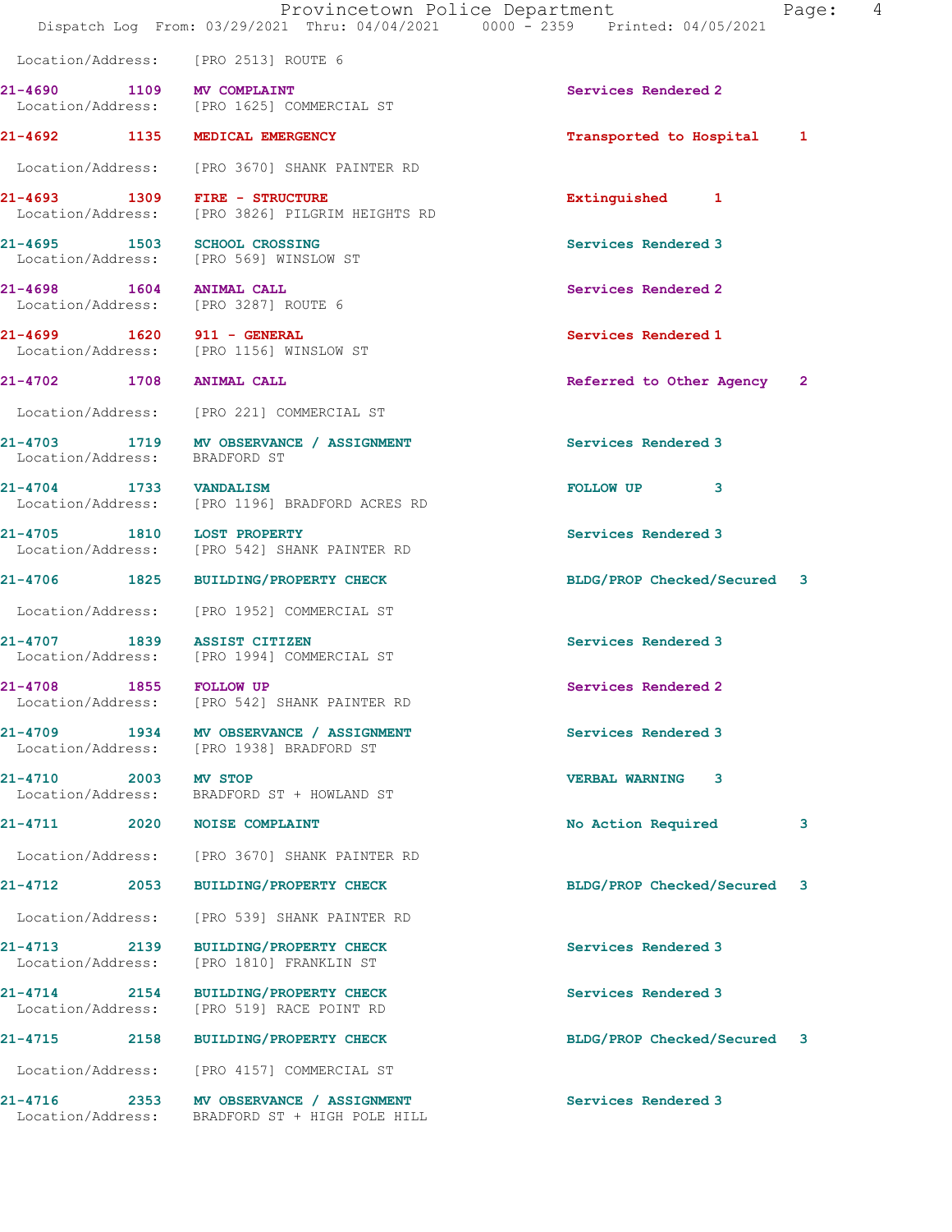|                                   |      | Location/Address: [PRO 2513] ROUTE 6                                                |                             |   |
|-----------------------------------|------|-------------------------------------------------------------------------------------|-----------------------------|---|
|                                   |      | 21-4690 1109 MV COMPLAINT<br>Location/Address: [PRO 1625] COMMERCIAL ST             | Services Rendered 2         |   |
|                                   |      | 21-4692 1135 MEDICAL EMERGENCY                                                      | Transported to Hospital 1   |   |
|                                   |      | Location/Address: [PRO 3670] SHANK PAINTER RD                                       |                             |   |
|                                   |      | 21-4693 1309 FIRE - STRUCTURE<br>Location/Address: [PRO 3826] PILGRIM HEIGHTS RD    | Extinguished 1              |   |
|                                   |      | 21-4695 1503 SCHOOL CROSSING<br>Location/Address: [PRO 569] WINSLOW ST              | Services Rendered 3         |   |
|                                   |      | 21-4698 1604 ANIMAL CALL<br>Location/Address: [PRO 3287] ROUTE 6                    | Services Rendered 2         |   |
|                                   |      | 21-4699   1620   911 - GENERAL<br>Location/Address: [PRO 1156] WINSLOW ST           | Services Rendered 1         |   |
|                                   |      | 21-4702 1708 ANIMAL CALL                                                            | Referred to Other Agency 2  |   |
|                                   |      | Location/Address: [PRO 221] COMMERCIAL ST                                           |                             |   |
|                                   |      | 21-4703 1719 MV OBSERVANCE / ASSIGNMENT<br>Location/Address: BRADFORD ST            | Services Rendered 3         |   |
| 21-4704 1733 VANDALISM            |      | Location/Address: [PRO 1196] BRADFORD ACRES RD                                      | FOLLOW UP 3                 |   |
|                                   |      | 21-4705 1810 LOST PROPERTY<br>Location/Address: [PRO 542] SHANK PAINTER RD          | Services Rendered 3         |   |
|                                   |      | 21-4706 1825 BUILDING/PROPERTY CHECK                                                | BLDG/PROP Checked/Secured 3 |   |
|                                   |      | Location/Address: [PRO 1952] COMMERCIAL ST                                          |                             |   |
|                                   |      | 21-4707 1839 ASSIST CITIZEN<br>Location/Address: [PRO 1994] COMMERCIAL ST           | Services Rendered 3         |   |
| 21-4708 1855 FOLLOW UP            |      | Location/Address: [PRO 542] SHANK PAINTER RD                                        | Services Rendered 2         |   |
|                                   |      | 21-4709 1934 MV OBSERVANCE / ASSIGNMENT<br>Location/Address: [PRO 1938] BRADFORD ST | Services Rendered 3         |   |
| 21-4710 2003 MV STOP              |      | Location/Address: BRADFORD ST + HOWLAND ST                                          | <b>VERBAL WARNING</b><br>3  |   |
|                                   |      | 21-4711 2020 NOISE COMPLAINT                                                        | No Action Required          | 3 |
|                                   |      | Location/Address: [PRO 3670] SHANK PAINTER RD                                       |                             |   |
| 21-4712                           | 2053 | <b>BUILDING/PROPERTY CHECK</b>                                                      | BLDG/PROP Checked/Secured 3 |   |
| Location/Address:                 |      | [PRO 539] SHANK PAINTER RD                                                          |                             |   |
| 21-4713 2139<br>Location/Address: |      | <b>BUILDING/PROPERTY CHECK</b><br>[PRO 1810] FRANKLIN ST                            | Services Rendered 3         |   |
| 21-4714<br>Location/Address:      |      | 2154 BUILDING/PROPERTY CHECK<br>[PRO 519] RACE POINT RD                             | Services Rendered 3         |   |
| 21-4715                           | 2158 | <b>BUILDING/PROPERTY CHECK</b>                                                      | BLDG/PROP Checked/Secured 3 |   |
|                                   |      | Location/Address: [PRO 4157] COMMERCIAL ST                                          |                             |   |
| 21-4716                           | 2353 | MV OBSERVANCE / ASSIGNMENT                                                          | Services Rendered 3         |   |

Location/Address: BRADFORD ST + HIGH POLE HILL

Dispatch Log From: 03/29/2021 Thru: 04/04/2021 0000 - 2359 Printed: 04/05/2021

Provincetown Police Department Page: 4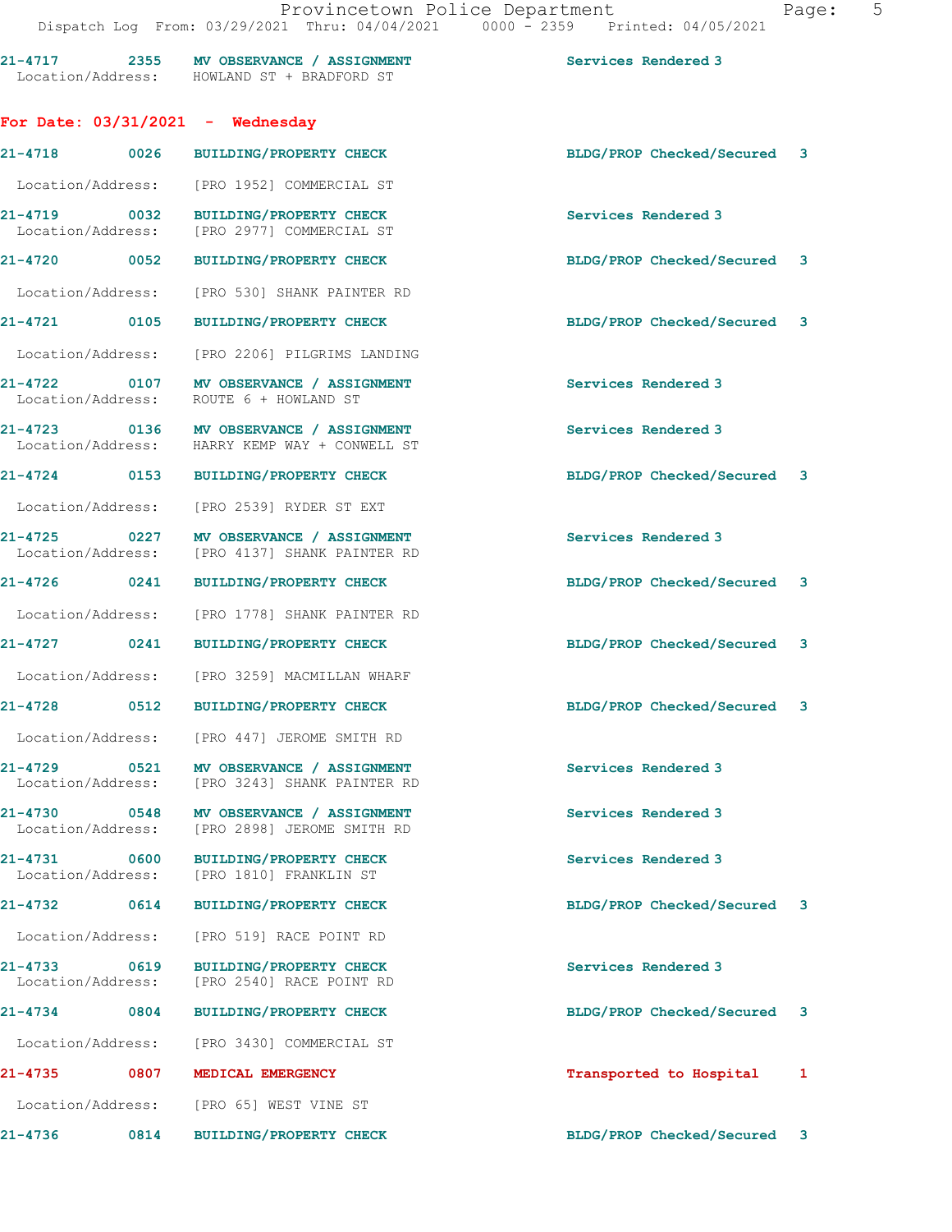|                                   |                                   | 21-4717 2355 MV OBSERVANCE / ASSIGNMENT<br>Location/Address: HOWLAND ST + BRADFORD ST | Services Rendered 3         |   |
|-----------------------------------|-----------------------------------|---------------------------------------------------------------------------------------|-----------------------------|---|
|                                   |                                   | For Date: $03/31/2021$ - Wednesday                                                    |                             |   |
| 21-4718                           | 0026                              | <b>BUILDING/PROPERTY CHECK</b>                                                        | BLDG/PROP Checked/Secured 3 |   |
| Location/Address:                 |                                   | [PRO 1952] COMMERCIAL ST                                                              |                             |   |
| Location/Address:                 | 21-4719 0032                      | <b>BUILDING/PROPERTY CHECK</b><br>[PRO 2977] COMMERCIAL ST                            | Services Rendered 3         |   |
| 21-4720 0052                      |                                   | <b>BUILDING/PROPERTY CHECK</b>                                                        | BLDG/PROP Checked/Secured 3 |   |
|                                   | Location/Address:                 | [PRO 530] SHANK PAINTER RD                                                            |                             |   |
| 21-4721 0105                      |                                   | <b>BUILDING/PROPERTY CHECK</b>                                                        | BLDG/PROP Checked/Secured 3 |   |
| Location/Address:                 |                                   | [PRO 2206] PILGRIMS LANDING                                                           |                             |   |
| Location/Address:                 | 21-4722 0107                      | MV OBSERVANCE / ASSIGNMENT<br>ROUTE 6 + HOWLAND ST                                    | Services Rendered 3         |   |
|                                   | 21-4723 0136<br>Location/Address: | MV OBSERVANCE / ASSIGNMENT<br>HARRY KEMP WAY + CONWELL ST                             | Services Rendered 3         |   |
|                                   | 21-4724 0153                      | <b>BUILDING/PROPERTY CHECK</b>                                                        | BLDG/PROP Checked/Secured 3 |   |
|                                   | Location/Address:                 | [PRO 2539] RYDER ST EXT                                                               |                             |   |
| 21-4725 0227                      | Location/Address:                 | MV OBSERVANCE / ASSIGNMENT<br>[PRO 4137] SHANK PAINTER RD                             | Services Rendered 3         |   |
| 21-4726 0241                      |                                   | BUILDING/PROPERTY CHECK                                                               | BLDG/PROP Checked/Secured 3 |   |
| Location/Address:                 |                                   | [PRO 1778] SHANK PAINTER RD                                                           |                             |   |
| 21-4727 0241                      |                                   | <b>BUILDING/PROPERTY CHECK</b>                                                        | BLDG/PROP Checked/Secured 3 |   |
|                                   | Location/Address:                 | [PRO 3259] MACMILLAN WHARF                                                            |                             |   |
| 21-4728                           | 0512                              | <b>BUILDING/PROPERTY CHECK</b>                                                        | BLDG/PROP Checked/Secured 3 |   |
|                                   | Location/Address:                 | [PRO 447] JEROME SMITH RD                                                             |                             |   |
|                                   | 21-4729 0521                      | MV OBSERVANCE / ASSIGNMENT<br>Location/Address: [PRO 3243] SHANK PAINTER RD           | Services Rendered 3         |   |
|                                   | 21-4730 0548<br>Location/Address: | MV OBSERVANCE / ASSIGNMENT<br>[PRO 2898] JEROME SMITH RD                              | Services Rendered 3         |   |
| $21 - 4731$<br>Location/Address:  | 0600                              | <b>BUILDING/PROPERTY CHECK</b><br>[PRO 1810] FRANKLIN ST                              | Services Rendered 3         |   |
| 21-4732                           | 0614                              | <b>BUILDING/PROPERTY CHECK</b>                                                        | BLDG/PROP Checked/Secured 3 |   |
| Location/Address:                 |                                   | [PRO 519] RACE POINT RD                                                               |                             |   |
| 21-4733 0619<br>Location/Address: |                                   | <b>BUILDING/PROPERTY CHECK</b><br>[PRO 2540] RACE POINT RD                            | Services Rendered 3         |   |
| 21-4734                           | 0804                              | <b>BUILDING/PROPERTY CHECK</b>                                                        | BLDG/PROP Checked/Secured 3 |   |
| Location/Address:                 |                                   | [PRO 3430] COMMERCIAL ST                                                              |                             |   |
| $21 - 4735$                       | 0807                              | MEDICAL EMERGENCY                                                                     | Transported to Hospital     | 1 |
|                                   | Location/Address:                 | [PRO 65] WEST VINE ST                                                                 |                             |   |
| 21-4736                           | 0814                              | <b>BUILDING/PROPERTY CHECK</b>                                                        | BLDG/PROP Checked/Secured 3 |   |
|                                   |                                   |                                                                                       |                             |   |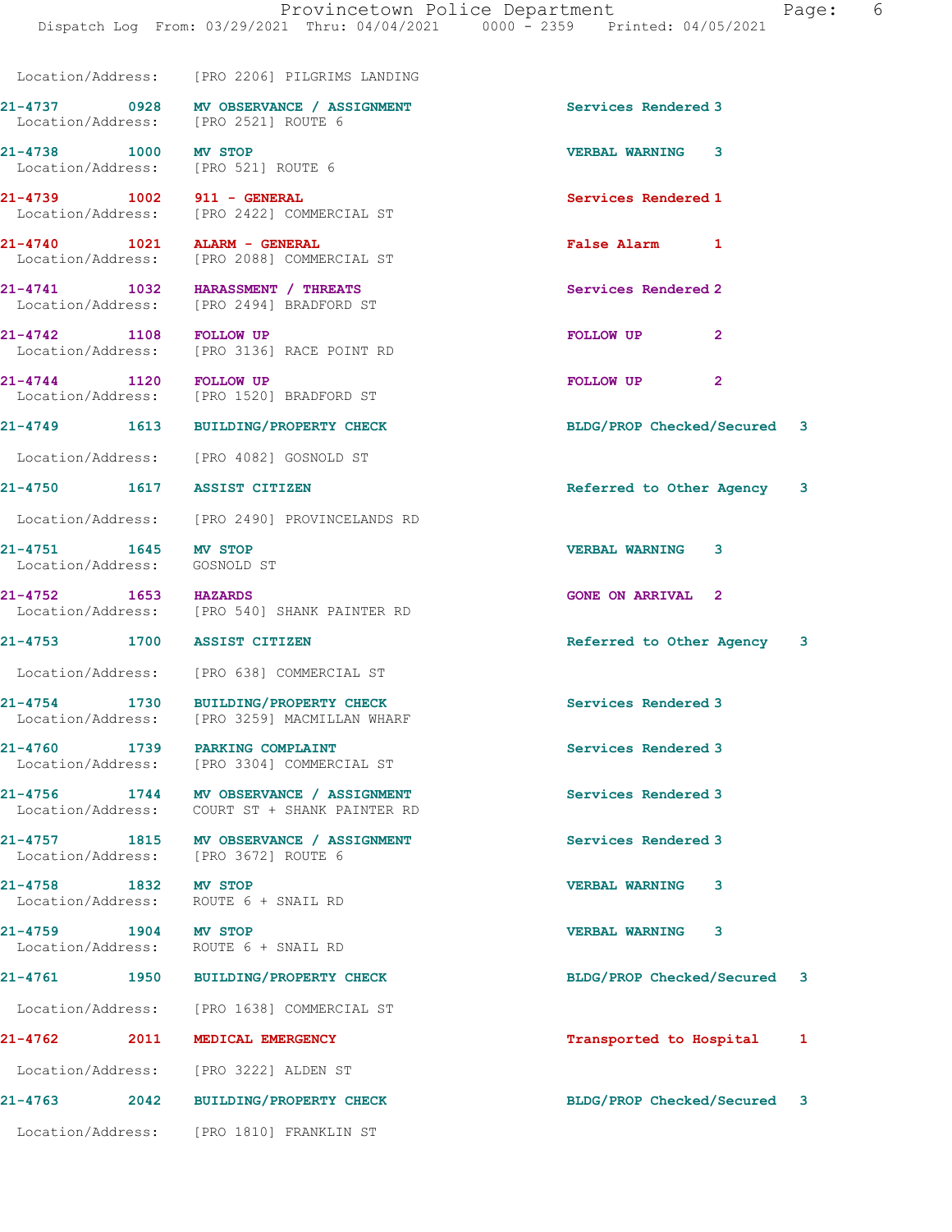Dispatch Log From: 03/29/2021 Thru: 04/04/2021 0000 - 2359 Printed: 04/05/2021

 Location/Address: [PRO 2206] PILGRIMS LANDING 21-4737 0928 MV OBSERVANCE / ASSIGNMENT Services Rendered 3 Location/Address: [PRO 2521] ROUTE 6 21-4738 1000 MV STOP VERBAL WARNING 3 Location/Address: [PRO 521] ROUTE 6 21-4739 1002 911 - GENERAL 21-4739 1002 911 - GENERAL ST [PRO 2422] COMMERCIAL ST 21-4740 1021 ALARM - GENERAL False Alarm 1 Location/Address: [PRO 2088] COMMERCIAL ST 21-4741 1032 HARASSMENT / THREATS Services Rendered 2 Location/Address: [PRO 2494] BRADFORD ST 21-4742 1108 FOLLOW UP **Property Settings of ATA** FOLLOW UP 2<br>
Location/Address: [PRO 3136] RACE POINT RD [PRO 3136] RACE POINT RD 21-4744 1120 FOLLOW UP FOLLOW UP 2 Location/Address: [PRO 1520] BRADFORD ST 21-4749 1613 BUILDING/PROPERTY CHECK BLDG/PROP Checked/Secured 3 Location/Address: [PRO 4082] GOSNOLD ST 21-4750 1617 ASSIST CITIZEN **1999 12-4750 16-4750** 1617 ASSIST CITIZEN Location/Address: [PRO 2490] PROVINCELANDS RD 21-4751 1645 MV STOP 20 21-4751 220-512 VERBAL WARNING 3 Location/Address: GOSNOLD ST 21-4752 1653 HAZARDS GONE ON ARRIVAL 2 Location/Address: [PRO 540] SHANK PAINTER RD 21-4753 1700 ASSIST CITIZEN Referred to Other Agency 3 Location/Address: [PRO 638] COMMERCIAL ST 21-4754 1730 BUILDING/PROPERTY CHECK Services Rendered 3 Location/Address: [PRO 3259] MACMILLAN WHARF 21-4760 1739 PARKING COMPLAINT Services Rendered 3 Location/Address: [PRO 3304] COMMERCIAL ST 21-4756 1744 MV OBSERVANCE / ASSIGNMENT Services Rendered 3 Location/Address: COURT ST + SHANK PAINTER RD 21-4757 1815 MV OBSERVANCE / ASSIGNMENT Services Rendered 3 Location/Address: [PRO 3672] ROUTE 6 21-4758 1832 MV STOP VERBAL WARNING 3 ROUTE 6 + SNAIL RD 21-4759 1904 MV STOP VERBAL WARNING 3 Location/Address: ROUTE 6 + SNAIL RD 21-4761 1950 BUILDING/PROPERTY CHECK BLDG/PROP Checked/Secured 3 Location/Address: [PRO 1638] COMMERCIAL ST 21-4762 2011 MEDICAL EMERGENCY **2008** 2009 Transported to Hospital 1 Location/Address: [PRO 3222] ALDEN ST 21-4763 2042 BUILDING/PROPERTY CHECK BLDG/PROP Checked/Secured 3 Location/Address: [PRO 1810] FRANKLIN ST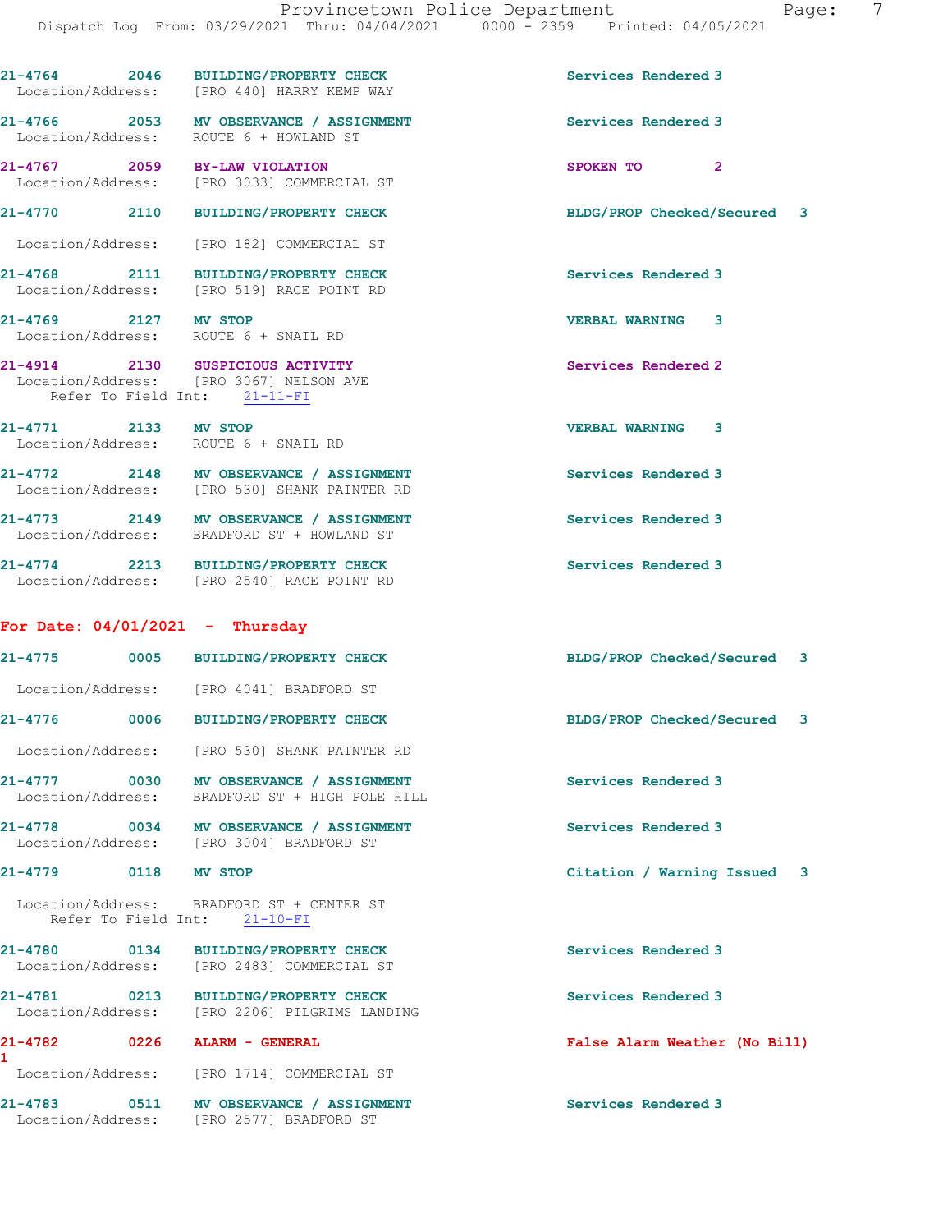| 21-4783<br>0511                          |      | <b>MV OBSERVANCE / ASSIGNMENT</b><br>Location/Address: [PRO 2577] BRADFORD ST                               | Services Rendered 3           |
|------------------------------------------|------|-------------------------------------------------------------------------------------------------------------|-------------------------------|
| Location/Address:                        |      | [PRO 1714] COMMERCIAL ST                                                                                    |                               |
| $21 - 4782$<br>1                         | 0226 | ALARM - GENERAL                                                                                             | False Alarm Weather (No Bill) |
| $21 - 4781$<br>0213<br>Location/Address: |      | <b>BUILDING/PROPERTY CHECK</b><br>[PRO 2206] PILGRIMS LANDING                                               | Services Rendered 3           |
| 21-4780 0134<br>Location/Address:        |      | <b>BUILDING/PROPERTY CHECK</b><br>[PRO 2483] COMMERCIAL ST                                                  | Services Rendered 3           |
| Refer To Field Int:                      |      | Location/Address: BRADFORD ST + CENTER ST<br>$21 - 10 - FI$                                                 |                               |
| 21-4779                                  | 0118 | <b>MV STOP</b>                                                                                              | Citation / Warning Issued 3   |
|                                          |      | 21-4778 0034 MV OBSERVANCE / ASSIGNMENT<br>Location/Address: [PRO 3004] BRADFORD ST                         | Services Rendered 3           |
| Location/Address:                        |      | 21-4777 0030 MV OBSERVANCE / ASSIGNMENT<br>BRADFORD ST + HIGH POLE HILL                                     | Services Rendered 3           |
| Location/Address:                        |      | [PRO 530] SHANK PAINTER RD                                                                                  |                               |
|                                          |      | 21-4776 0006 BUILDING/PROPERTY CHECK                                                                        | BLDG/PROP Checked/Secured 3   |
|                                          |      | Location/Address: [PRO 4041] BRADFORD ST                                                                    |                               |
|                                          |      | 21-4775 0005 BUILDING/PROPERTY CHECK                                                                        | BLDG/PROP Checked/Secured 3   |
| For Date: $04/01/2021$ - Thursday        |      |                                                                                                             |                               |
|                                          |      | 21-4774 2213 BUILDING/PROPERTY CHECK<br>Location/Address: [PRO 2540] RACE POINT RD                          | Services Rendered 3           |
|                                          |      | 21-4773 2149 MV OBSERVANCE / ASSIGNMENT<br>Location/Address: BRADFORD ST + HOWLAND ST                       | Services Rendered 3           |
|                                          |      | 21-4772 2148 MV OBSERVANCE / ASSIGNMENT<br>Location/Address: [PRO 530] SHANK PAINTER RD                     | Services Rendered 3           |
| 21-4771 2133 MV STOP                     |      | Location/Address: ROUTE 6 + SNAIL RD                                                                        | <b>VERBAL WARNING</b><br>3    |
|                                          |      | 21-4914 2130 SUSPICIOUS ACTIVITY<br>Location/Address: [PRO 3067] NELSON AVE<br>Refer To Field Int: 21-11-FI | Services Rendered 2           |
| 21-4769 2127 MV STOP                     |      | Location/Address: ROUTE 6 + SNAIL RD                                                                        | <b>VERBAL WARNING</b><br>3    |
|                                          |      | 21-4768 2111 BUILDING/PROPERTY CHECK<br>Location/Address: [PRO 519] RACE POINT RD                           | Services Rendered 3           |
|                                          |      | Location/Address: [PRO 182] COMMERCIAL ST                                                                   |                               |
|                                          |      | 21-4770 2110 BUILDING/PROPERTY CHECK                                                                        | BLDG/PROP Checked/Secured 3   |
|                                          |      | 21-4767 2059 BY-LAW VIOLATION<br>Location/Address: [PRO 3033] COMMERCIAL ST                                 | SPOKEN TO<br>$\mathbf{2}$     |
|                                          |      | 21-4766 2053 MV OBSERVANCE / ASSIGNMENT<br>Location/Address: ROUTE 6 + HOWLAND ST                           | Services Rendered 3           |
|                                          |      | 21-4764 2046 BUILDING/PROPERTY CHECK<br>Location/Address: [PRO 440] HARRY KEMP WAY                          | Services Rendered 3           |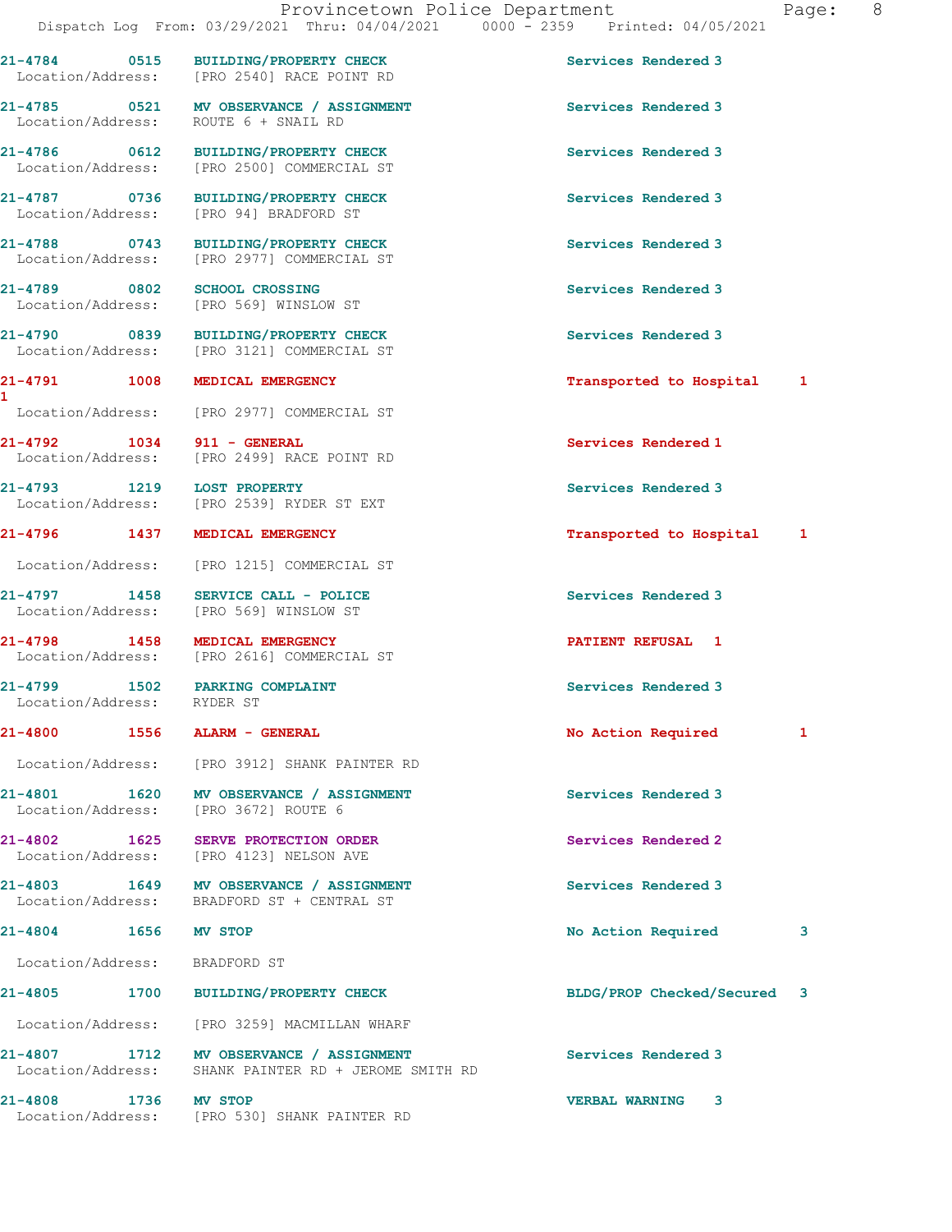Location/Address: [PRO 94] BRADFORD ST

21-4789 0802 SCHOOL CROSSING Services Rendered 3 Location/Address: [PRO 569] WINSLOW ST

1

21-4792 1034 911 - GENERAL Services Rendered 1

Location/Address: RYDER ST

Location/Address: BRADFORD ST

21-4784 0515 BUILDING/PROPERTY CHECK Services Rendered 3 Location/Address: [PRO 2540] RACE POINT RD

21-4785 0521 MV OBSERVANCE / ASSIGNMENT Services Rendered 3 Location/Address: ROUTE 6 + SNAIL RD

21-4786 0612 BUILDING/PROPERTY CHECK Services Rendered 3 Location/Address: [PRO 2500] COMMERCIAL ST

21-4787 0736 BUILDING/PROPERTY CHECK Services Rendered 3

21-4788 0743 BUILDING/PROPERTY CHECK Services Rendered 3 Location/Address: [PRO 2977] COMMERCIAL ST

21-4790 0839 BUILDING/PROPERTY CHECK Services Rendered 3 Location/Address: [PRO 3121] COMMERCIAL ST

Location/Address: [PRO 2977] COMMERCIAL ST

Location/Address: [PRO 2499] RACE POINT RD

21-4793 1219 LOST PROPERTY Services Rendered 3 Location/Address: [PRO 2539] RYDER ST EXT

Location/Address: [PRO 1215] COMMERCIAL ST

21-4797 1458 SERVICE CALL - POLICE Services Rendered 3 Location/Address: [PRO 569] WINSLOW ST

21-4798 1458 MEDICAL EMERGENCY<br>
Location/Address: [PRO 2616] COMMERCIAL ST [PRO 2616] COMMERCIAL ST

Location/Address: [PRO 3912] SHANK PAINTER RD

21-4801 1620 MV OBSERVANCE / ASSIGNMENT Services Rendered 3 Location/Address: [PRO 3672] ROUTE 6

21-4802 1625 SERVE PROTECTION ORDER Services Rendered 2 Location/Address: [PRO 4123] NELSON AVE

21-4803 1649 MV OBSERVANCE / ASSIGNMENT Services Rendered 3 Location/Address: BRADFORD ST + CENTRAL ST

Location/Address: [PRO 3259] MACMILLAN WHARF

21-4807 1712 MV OBSERVANCE / ASSIGNMENT Services Rendered 3 Location/Address: SHANK PAINTER RD + JEROME SMITH RD

21-4808 1736 MW STOP 10 VERBAL WARNING 3<br>
Location/Address: [PRO 530] SHANK PAINTER RD [PRO 530] SHANK PAINTER RD

21-4791 1008 MEDICAL EMERGENCY Transported to Hospital 1

21-4796 1437 MEDICAL EMERGENCY Transported to Hospital 1

21-4799 1502 PARKING COMPLAINT Services Rendered 3

21-4800 1556 ALARM - GENERAL 1 No Action Required 1

21-4804 1656 MV STOP 120 21-4804 21-4804 3

21-4805 1700 BUILDING/PROPERTY CHECK BLDG/PROP Checked/Secured 3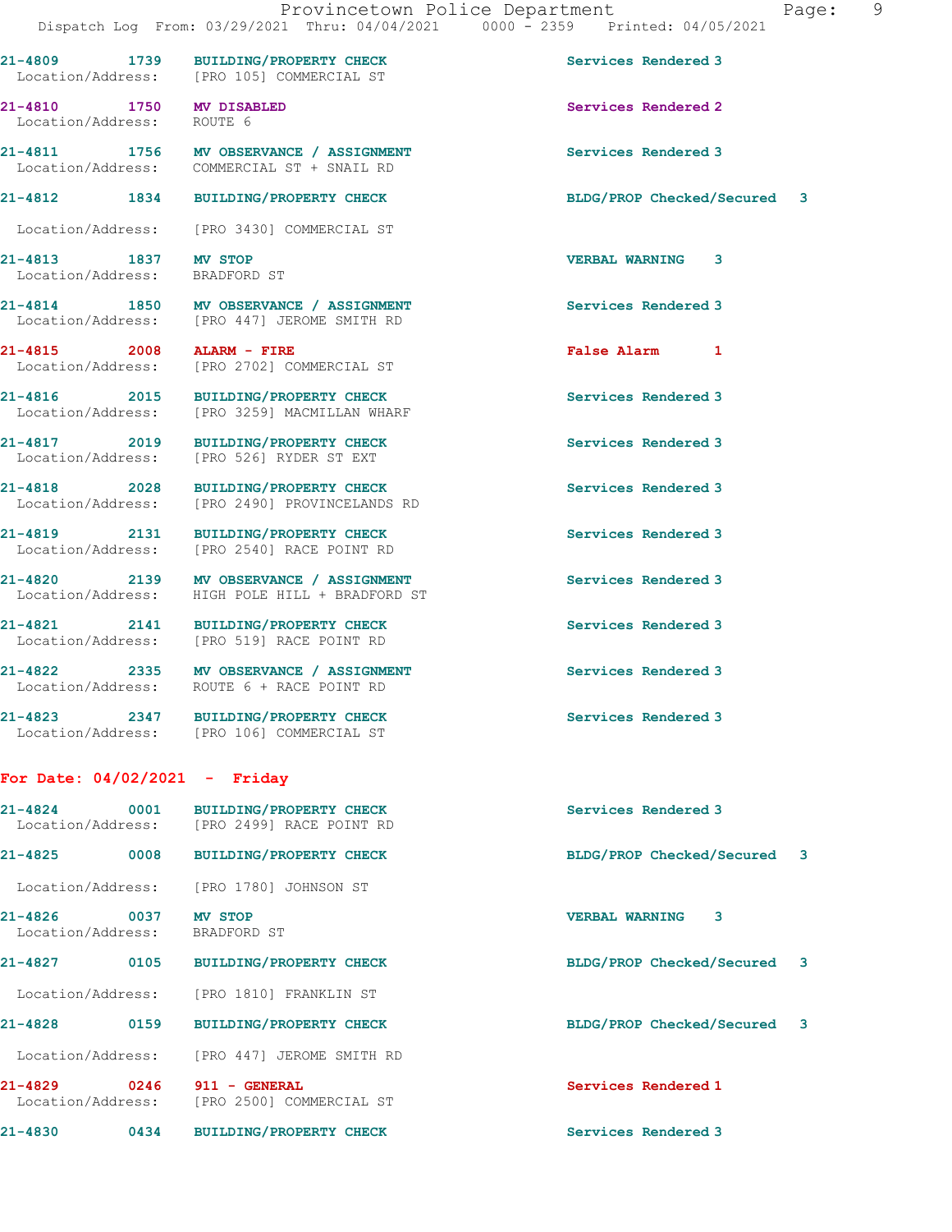Location/Address: [PRO 105] COMMERCIAL ST

21-4810 1750 MV DISABLED Services Rendered 2 Location/Address: ROUTE 6

Location/Address: COMMERCIAL ST + SNAIL RD

Location/Address: [PRO 3430] COMMERCIAL ST

21-4813 1837 MV STOP VERBAL WARNING 3 Location/Address: BRADFORD ST

21-4814 1850 MV OBSERVANCE / ASSIGNMENT Services Rendered 3 Location/Address: [PRO 447] JEROME SMITH RD

21-4815 2008 ALARM - FIRE False Alarm 1 Location/Address: [PRO 2702] COMMERCIAL ST

21-4816 2015 BUILDING/PROPERTY CHECK Services Rendered 3 Location/Address: [PRO 3259] MACMILLAN WHARF

21-4817 2019 BUILDING/PROPERTY CHECK Services Rendered 3 Location/Address: [PRO 526] RYDER ST EXT

21-4818 2028 BUILDING/PROPERTY CHECK Services Rendered 3 Location/Address: [PRO 2490] PROVINCELANDS RD

21-4819 2131 BUILDING/PROPERTY CHECK Services Rendered 3 Location/Address: [PRO 2540] RACE POINT RD

21-4820 2139 MV OBSERVANCE / ASSIGNMENT Services Rendered 3 Location/Address: HIGH POLE HILL + BRADFORD ST

21-4821 2141 BUILDING/PROPERTY CHECK Services Rendered 3 Location/Address: [PRO 519] RACE POINT RD

21-4822 2335 MV OBSERVANCE / ASSIGNMENT Services Rendered 3 Location/Address: ROUTE 6 + RACE POINT RD

21-4823 2347 BUILDING/PROPERTY CHECK Services Rendered 3

Location/Address: [PRO 106] COMMERCIAL ST

## For Date: 04/02/2021 - Friday

| $21 - 4824$<br>0001<br>Location/Address: | <b>BUILDING/PROPERTY CHECK</b><br>[PRO 2499] RACE POINT RD | Services Rendered 3         |
|------------------------------------------|------------------------------------------------------------|-----------------------------|
| $21 - 4825$<br>0008                      | <b>BUILDING/PROPERTY CHECK</b>                             | BLDG/PROP Checked/Secured 3 |
| Location/Address:                        | [PRO 1780] JOHNSON ST                                      |                             |
| $21 - 4826$<br>0037<br>Location/Address: | MV STOP<br>BRADFORD ST                                     | 3<br><b>VERBAL WARNING</b>  |
| $21 - 4827$<br>0105                      | <b>BUILDING/PROPERTY CHECK</b>                             | BLDG/PROP Checked/Secured 3 |
| Location/Address:                        | <b>IPRO 18101 FRANKLIN ST</b>                              |                             |
| $21 - 4828$<br>0159                      | <b>BUILDING/PROPERTY CHECK</b>                             | BLDG/PROP Checked/Secured 3 |
| Location/Address:                        | [PRO 447]<br>JEROME SMITH RD                               |                             |

21-4829 0246 911 - GENERAL Services Rendered 1 Location/Address: [PRO 2500] COMMERCIAL ST

21-4830 0434 BUILDING/PROPERTY CHECK Services Rendered 3

21-4809 1739 BUILDING/PROPERTY CHECK Services Rendered 3

21-4811 1756 MV OBSERVANCE / ASSIGNMENT Services Rendered 3

21-4812 1834 BUILDING/PROPERTY CHECK BLDG/PROP Checked/Secured 3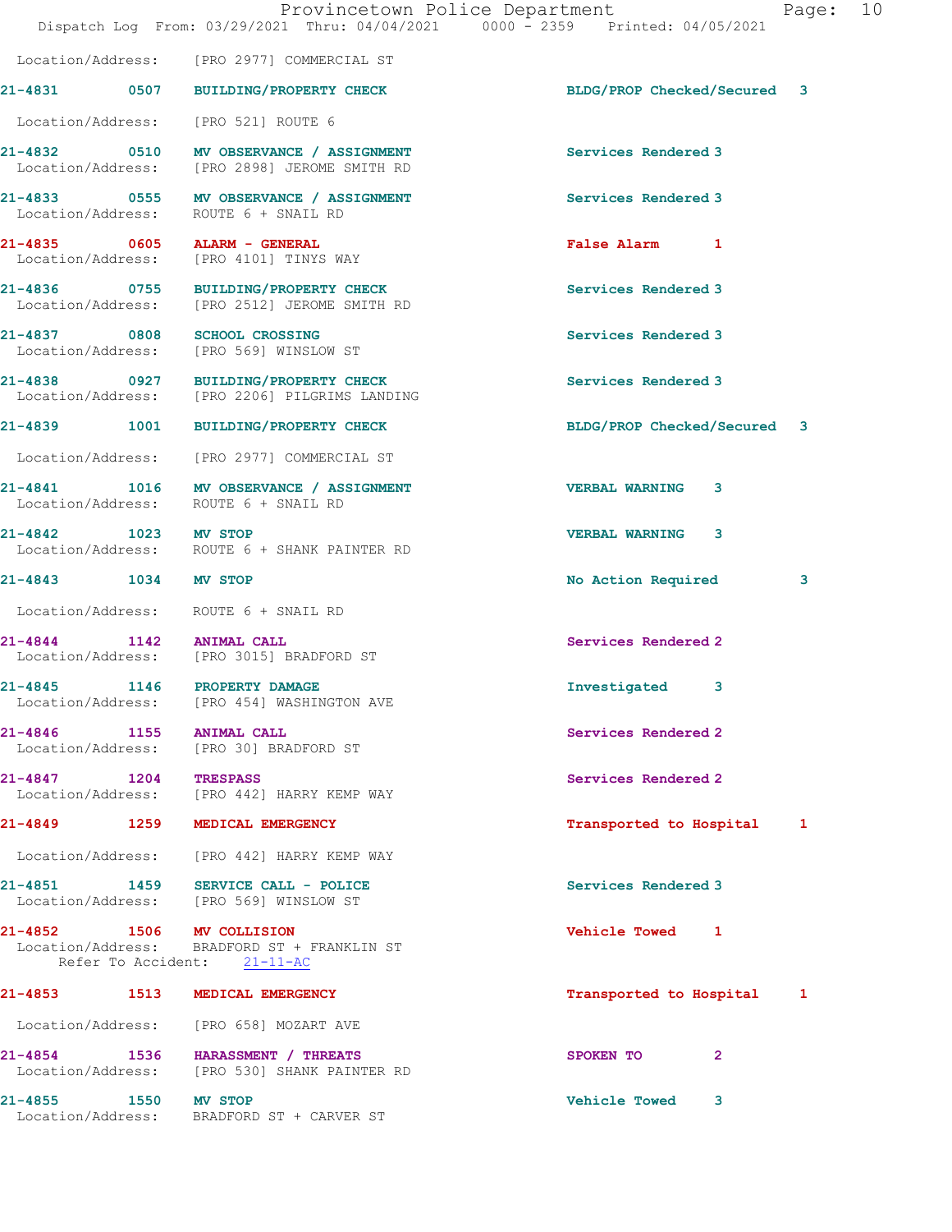|                       | Dispatch Log From: 03/29/2021 Thru: 04/04/2021 0000 - 2359 Printed: 04/05/2021                          | Provincetown Police Department<br>Page: 10 |  |
|-----------------------|---------------------------------------------------------------------------------------------------------|--------------------------------------------|--|
|                       | Location/Address: [PRO 2977] COMMERCIAL ST                                                              |                                            |  |
|                       | 21-4831 0507 BUILDING/PROPERTY CHECK                                                                    | BLDG/PROP Checked/Secured 3                |  |
|                       | Location/Address: [PRO 521] ROUTE 6                                                                     |                                            |  |
|                       | 21-4832 0510 MV OBSERVANCE / ASSIGNMENT<br>Location/Address: [PRO 2898] JEROME SMITH RD                 | Services Rendered 3                        |  |
|                       | 21-4833 0555 MV OBSERVANCE / ASSIGNMENT<br>Location/Address: ROUTE 6 + SNAIL RD                         | Services Rendered 3                        |  |
|                       | 21-4835 0605 ALARM - GENERAL<br>Location/Address: [PRO 4101] TINYS WAY                                  | False Alarm 1                              |  |
|                       | 21-4836 0755 BUILDING/PROPERTY CHECK<br>Location/Address: [PRO 2512] JEROME SMITH RD                    | Services Rendered 3                        |  |
|                       | 21-4837 0808 SCHOOL CROSSING<br>Location/Address: [PRO 569] WINSLOW ST                                  | Services Rendered 3                        |  |
|                       | 21-4838 0927 BUILDING/PROPERTY CHECK<br>Location/Address: [PRO 2206] PILGRIMS LANDING                   | Services Rendered 3                        |  |
|                       | 21-4839 1001 BUILDING/PROPERTY CHECK                                                                    | BLDG/PROP Checked/Secured 3                |  |
|                       | Location/Address: [PRO 2977] COMMERCIAL ST                                                              |                                            |  |
|                       | 21-4841 1016 MV OBSERVANCE / ASSIGNMENT<br>Location/Address: ROUTE 6 + SNAIL RD                         | <b>VERBAL WARNING 3</b>                    |  |
| 21-4842 1023 MV STOP  | Location/Address: ROUTE 6 + SHANK PAINTER RD                                                            | <b>VERBAL WARNING 3</b>                    |  |
| 21-4843 1034 MV STOP  |                                                                                                         | No Action Required<br>3                    |  |
|                       | Location/Address: ROUTE 6 + SNAIL RD                                                                    |                                            |  |
|                       | 21-4844 1142 ANIMAL CALL<br>Location/Address: [PRO 3015] BRADFORD ST                                    | Services Rendered 2                        |  |
| 21-4845               | 1146 PROPERTY DAMAGE<br>Location/Address: [PRO 454] WASHINGTON AVE                                      | Investigated 3                             |  |
| 21-4846 1155          | <b>ANIMAL CALL</b><br>Location/Address: [PRO 30] BRADFORD ST                                            | Services Rendered 2                        |  |
| 21-4847 1204 TRESPASS | Location/Address: [PRO 442] HARRY KEMP WAY                                                              | Services Rendered 2                        |  |
|                       | 21-4849 1259 MEDICAL EMERGENCY                                                                          | Transported to Hospital 1                  |  |
|                       | Location/Address: [PRO 442] HARRY KEMP WAY                                                              |                                            |  |
|                       | 21-4851 1459 SERVICE CALL - POLICE<br>Location/Address: [PRO 569] WINSLOW ST                            | Services Rendered 3                        |  |
|                       | 21-4852 1506 MV COLLISION<br>Location/Address: BRADFORD ST + FRANKLIN ST<br>Refer To Accident: 21-11-AC | Vehicle Towed 1                            |  |
|                       | 21-4853 1513 MEDICAL EMERGENCY                                                                          | Transported to Hospital 1                  |  |
|                       | Location/Address: [PRO 658] MOZART AVE                                                                  |                                            |  |
|                       | 21-4854 1536 HARASSMENT / THREATS<br>Location/Address: [PRO 530] SHANK PAINTER RD                       | SPOKEN TO<br>$\mathbf{2}$                  |  |
| 21-4855 1550 MV STOP  | Location/Address: BRADFORD ST + CARVER ST                                                               | <b>Vehicle Towed</b><br>3                  |  |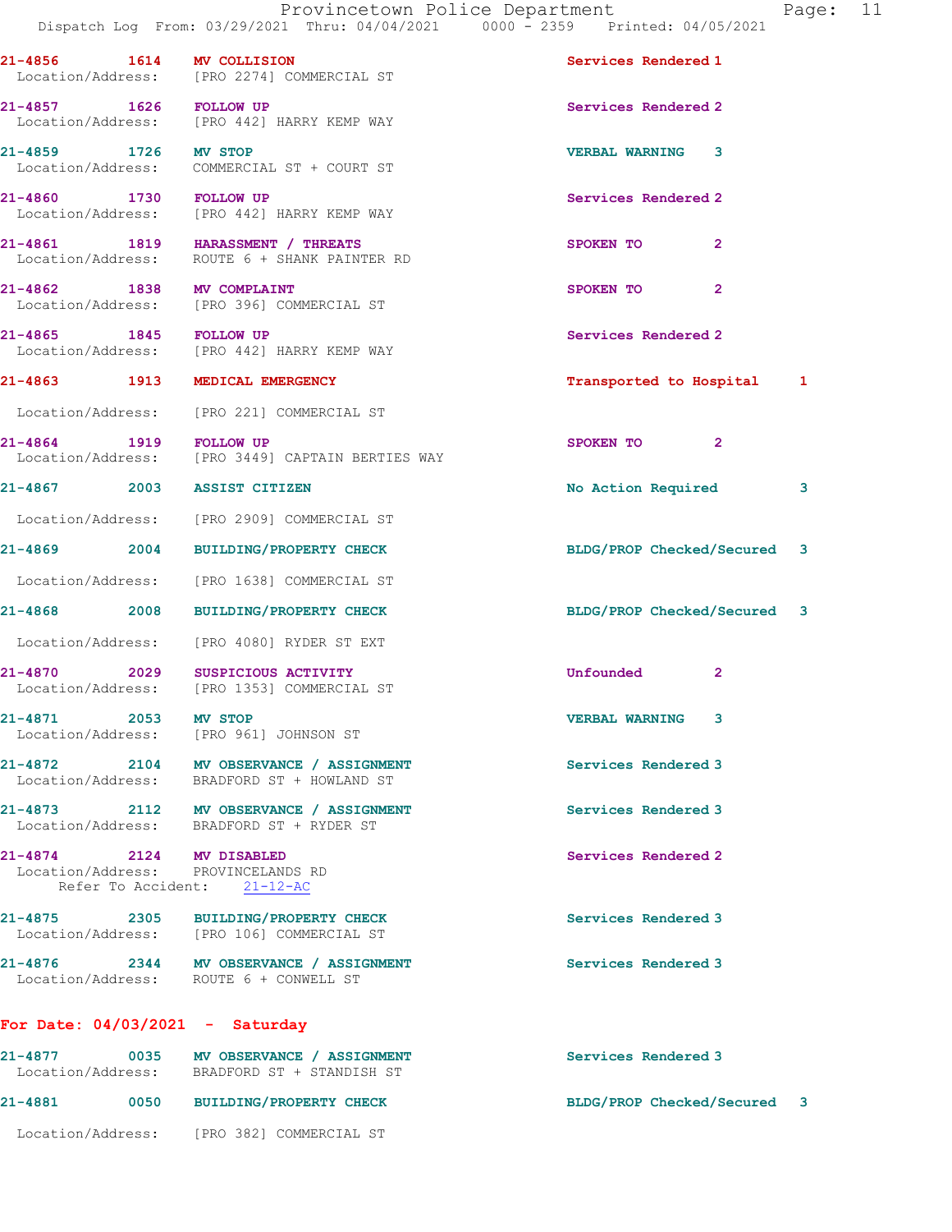21-4856 1614 MV COLLISION Services Rendered 1 Location/Address: [PRO 2274] COMMERCIAL ST 21-4857 1626 FOLLOW UP Services Rendered 2 Location/Address: [PRO 442] HARRY KEMP WAY 21-4859 1726 MV STOP VERBAL WARNING 3 Location/Address: COMMERCIAL ST + COURT ST 21-4860 1730 FOLLOW UP Services Rendered 2<br>
Location/Address: [PRO 442] HARRY KEMP WAY [PRO 442] HARRY KEMP WAY 21-4861 1819 HARASSMENT / THREATS SPOKEN TO 2 Location/Address: ROUTE 6 + SHANK PAINTER RD 21-4862 1838 MV COMPLAINT SPOKEN TO 2 Location/Address: [PRO 396] COMMERCIAL ST 21-4865 1845 FOLLOW UP COMBET SERVICES Rendered 2<br>
Location/Address: [PRO 442] HARRY KEMP WAY [PRO 442] HARRY KEMP WAY 21-4863 1913 MEDICAL EMERGENCY Transported to Hospital 1 Location/Address: [PRO 221] COMMERCIAL ST 21-4864 1919 FOLLOW UP 2012 1920 SPOKEN TO 2 Location/Address: [PRO 3449] CAPTAIN BERTIES WAY 21-4867 2003 ASSIST CITIZEN 2008 2009 201-4867 2003 2011 Location/Address: [PRO 2909] COMMERCIAL ST 21-4869 2004 BUILDING/PROPERTY CHECK BLDG/PROP Checked/Secured 3 Location/Address: [PRO 1638] COMMERCIAL ST 21-4868 2008 BUILDING/PROPERTY CHECK BLDG/PROP Checked/Secured 3 Location/Address: [PRO 4080] RYDER ST EXT 21-4870 2029 SUSPICIOUS ACTIVITY Unfounded 2 Location/Address: [PRO 1353] COMMERCIAL ST 21-4871 2053 MV STOP VERBAL WARNING 3 Location/Address: [PRO 961] JOHNSON ST 21-4872 2104 MV OBSERVANCE / ASSIGNMENT Services Rendered 3 Location/Address: BRADFORD ST + HOWLAND ST 21-4873 2112 MV OBSERVANCE / ASSIGNMENT Services Rendered 3 Location/Address: BRADFORD ST + RYDER ST 21-4874 2124 MV DISABLED Services Rendered 2 Location/Address: PROVINCELANDS RD Refer To Accident: 21-12-AC 21-4875 2305 BUILDING/PROPERTY CHECK Services Rendered 3 [PRO 106] COMMERCIAL ST 21-4876 2344 MV OBSERVANCE / ASSIGNMENT Services Rendered 3 Location/Address: ROUTE 6 + CONWELL ST For Date: 04/03/2021 - Saturday 21-4877 0035 MV OBSERVANCE / ASSIGNMENT Services Rendered 3

 Location/Address: BRADFORD ST + STANDISH ST 21-4881 0050 BUILDING/PROPERTY CHECK BLDG/PROP Checked/Secured 3 Location/Address: [PRO 382] COMMERCIAL ST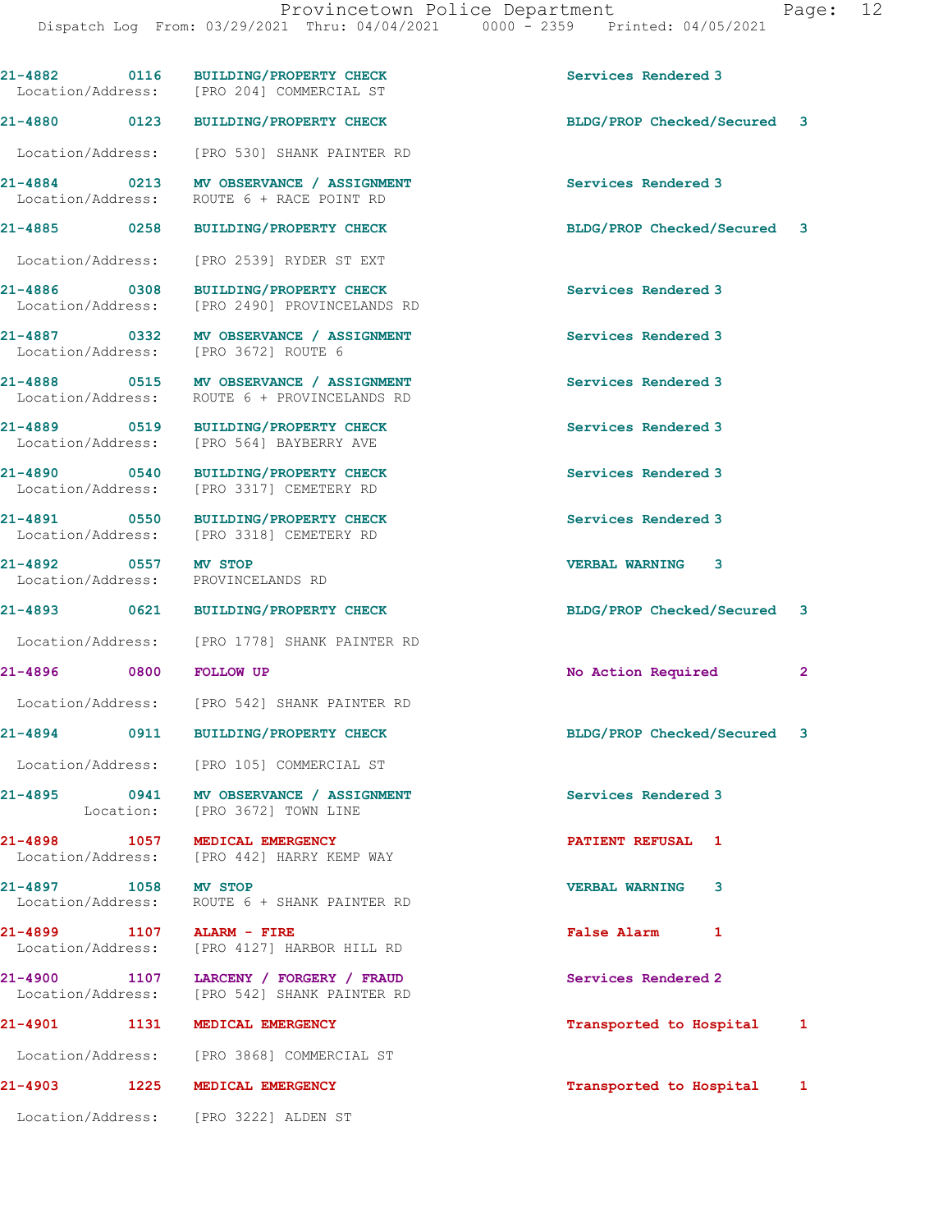|                                   |      | 21-4882 0116 BUILDING/PROPERTY CHECK<br>Location/Address: [PRO 204] COMMERCIAL ST       | Services Rendered 3         |   |
|-----------------------------------|------|-----------------------------------------------------------------------------------------|-----------------------------|---|
| 21-4880 0123                      |      | BUILDING/PROPERTY CHECK                                                                 | BLDG/PROP Checked/Secured 3 |   |
|                                   |      | Location/Address: [PRO 530] SHANK PAINTER RD                                            |                             |   |
| 21-4884 0213<br>Location/Address: |      | MV OBSERVANCE / ASSIGNMENT<br>ROUTE 6 + RACE POINT RD                                   | Services Rendered 3         |   |
|                                   |      | 21-4885 0258 BUILDING/PROPERTY CHECK                                                    | BLDG/PROP Checked/Secured 3 |   |
| Location/Address:                 |      | [PRO 2539] RYDER ST EXT                                                                 |                             |   |
| 21-4886 0308<br>Location/Address: |      | <b>BUILDING/PROPERTY CHECK</b><br>[PRO 2490] PROVINCELANDS RD                           | Services Rendered 3         |   |
|                                   |      | 21-4887 0332 MV OBSERVANCE / ASSIGNMENT<br>Location/Address: [PRO 3672] ROUTE 6         | Services Rendered 3         |   |
|                                   |      | 21-4888 0515 MV OBSERVANCE / ASSIGNMENT<br>Location/Address: ROUTE 6 + PROVINCELANDS RD | Services Rendered 3         |   |
|                                   |      | 21-4889 0519 BUILDING/PROPERTY CHECK<br>Location/Address: [PRO 564] BAYBERRY AVE        | Services Rendered 3         |   |
| 21-4890 0540<br>Location/Address: |      | <b>BUILDING/PROPERTY CHECK</b><br>[PRO 3317] CEMETERY RD                                | Services Rendered 3         |   |
|                                   |      | 21-4891 0550 BUILDING/PROPERTY CHECK<br>Location/Address: [PRO 3318] CEMETERY RD        | Services Rendered 3         |   |
| 21-4892 0557 MV STOP              |      | Location/Address: PROVINCELANDS RD                                                      | VERBAL WARNING 3            |   |
|                                   |      | 21-4893 0621 BUILDING/PROPERTY CHECK                                                    | BLDG/PROP Checked/Secured   | 3 |
| Location/Address:                 |      | [PRO 1778] SHANK PAINTER RD                                                             |                             |   |
| 21-4896                           | 0800 | <b>FOLLOW UP</b>                                                                        | No Action Required          | 2 |
|                                   |      | Location/Address: [PRO 542] SHANK PAINTER RD                                            |                             |   |
|                                   |      | 21-4894 0911 BUILDING/PROPERTY CHECK                                                    | BLDG/PROP Checked/Secured 3 |   |
|                                   |      | Location/Address: [PRO 105] COMMERCIAL ST                                               |                             |   |
|                                   |      | 21-4895 0941 MV OBSERVANCE / ASSIGNMENT<br>Location: [PRO 3672] TOWN LINE               | Services Rendered 3         |   |
|                                   |      | 21-4898 1057 MEDICAL EMERGENCY<br>Location/Address: [PRO 442] HARRY KEMP WAY            | PATIENT REFUSAL 1           |   |
| 21-4897 1058 MV STOP              |      | Location/Address: ROUTE 6 + SHANK PAINTER RD                                            | VERBAL WARNING 3            |   |
|                                   |      | 21-4899 1107 ALARM - FIRE<br>Location/Address: [PRO 4127] HARBOR HILL RD                | <b>False Alarm</b><br>1     |   |
|                                   |      | 21-4900 1107 LARCENY / FORGERY / FRAUD<br>Location/Address: [PRO 542] SHANK PAINTER RD  | Services Rendered 2         |   |
|                                   |      | 21-4901 1131 MEDICAL EMERGENCY                                                          | Transported to Hospital     | 1 |
|                                   |      | Location/Address: [PRO 3868] COMMERCIAL ST                                              |                             |   |
|                                   |      | 21-4903 1225 MEDICAL EMERGENCY                                                          | Transported to Hospital     | 1 |
|                                   |      | Location/Address: [PRO 3222] ALDEN ST                                                   |                             |   |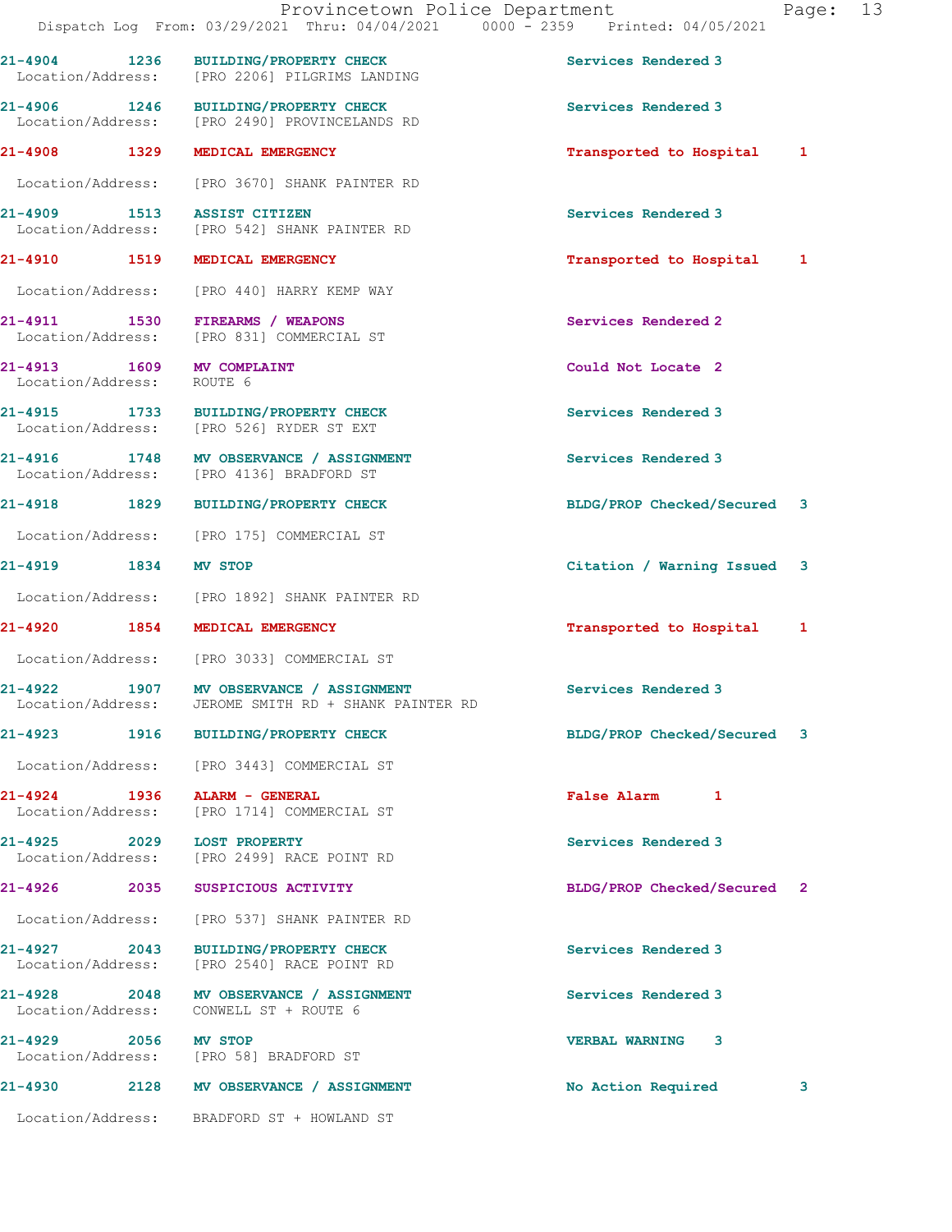|                                                   |      | Provincetown Police Department<br>Dispatch Log From: 03/29/2021 Thru: 04/04/2021 0000 - 2359 Printed: 04/05/2021 |                             | Page: | 13 |
|---------------------------------------------------|------|------------------------------------------------------------------------------------------------------------------|-----------------------------|-------|----|
| 21-4904 1236                                      |      | BUILDING/PROPERTY CHECK<br>Location/Address: [PRO 2206] PILGRIMS LANDING                                         | Services Rendered 3         |       |    |
|                                                   |      | 21-4906 1246 BUILDING/PROPERTY CHECK<br>Location/Address: [PRO 2490] PROVINCELANDS RD                            | Services Rendered 3         |       |    |
| 21-4908 1329                                      |      | MEDICAL EMERGENCY                                                                                                | Transported to Hospital 1   |       |    |
|                                                   |      | Location/Address: [PRO 3670] SHANK PAINTER RD                                                                    |                             |       |    |
| 21-4909 1513 ASSIST CITIZEN                       |      | Location/Address: [PRO 542] SHANK PAINTER RD                                                                     | Services Rendered 3         |       |    |
|                                                   |      | 21-4910 1519 MEDICAL EMERGENCY                                                                                   | Transported to Hospital 1   |       |    |
|                                                   |      | Location/Address: [PRO 440] HARRY KEMP WAY                                                                       |                             |       |    |
| Location/Address:                                 |      | 21-4911 1530 FIREARMS / WEAPONS<br>[PRO 831] COMMERCIAL ST                                                       | Services Rendered 2         |       |    |
| 21-4913 1609<br>Location/Address:                 |      | <b>MV COMPLAINT</b><br>ROUTE 6                                                                                   | Could Not Locate 2          |       |    |
|                                                   |      | 21-4915 1733 BUILDING/PROPERTY CHECK<br>Location/Address: [PRO 526] RYDER ST EXT                                 | Services Rendered 3         |       |    |
|                                                   |      | 21-4916 1748 MV OBSERVANCE / ASSIGNMENT<br>Location/Address: [PRO 4136] BRADFORD ST                              | Services Rendered 3         |       |    |
| 21-4918 1829                                      |      | <b>BUILDING/PROPERTY CHECK</b>                                                                                   | BLDG/PROP Checked/Secured 3 |       |    |
|                                                   |      | Location/Address: [PRO 175] COMMERCIAL ST                                                                        |                             |       |    |
| 21-4919 1834 MV STOP                              |      |                                                                                                                  | Citation / Warning Issued   | 3     |    |
|                                                   |      | Location/Address: [PRO 1892] SHANK PAINTER RD                                                                    |                             |       |    |
|                                                   |      | 21-4920 1854 MEDICAL EMERGENCY                                                                                   | Transported to Hospital 1   |       |    |
|                                                   |      | Location/Address: [PRO 3033] COMMERCIAL ST                                                                       |                             |       |    |
| 1907<br>21-4922<br>Location/Address:              |      | MV OBSERVANCE / ASSIGNMENT<br>JEROME SMITH RD + SHANK PAINTER RD                                                 | Services Rendered 3         |       |    |
| 21-4923                                           |      | 1916 BUILDING/PROPERTY CHECK                                                                                     | BLDG/PROP Checked/Secured 3 |       |    |
|                                                   |      | Location/Address: [PRO 3443] COMMERCIAL ST                                                                       |                             |       |    |
| 21-4924 1936 ALARM - GENERAL<br>Location/Address: |      | [PRO 1714] COMMERCIAL ST                                                                                         | False Alarm 1               |       |    |
| 21-4925 2029<br>Location/Address:                 |      | <b>LOST PROPERTY</b><br>[PRO 2499] RACE POINT RD                                                                 | Services Rendered 3         |       |    |
| 21-4926                                           | 2035 | SUSPICIOUS ACTIVITY                                                                                              | BLDG/PROP Checked/Secured 2 |       |    |
| Location/Address:                                 |      | [PRO 537] SHANK PAINTER RD                                                                                       |                             |       |    |
| 21-4927 2043<br>Location/Address:                 |      | BUILDING/PROPERTY CHECK<br>[PRO 2540] RACE POINT RD                                                              | Services Rendered 3         |       |    |
|                                                   |      | 21-4928 2048 MV OBSERVANCE / ASSIGNMENT<br>Location/Address: CONWELL ST + ROUTE 6                                | Services Rendered 3         |       |    |

21-4929 2056 MV STOP VERBAL WARNING 3 Location/Address: [PRO 58] BRADFORD ST

21-4930 2128 MV OBSERVANCE / ASSIGNMENT No Action Required 3

Location/Address: BRADFORD ST + HOWLAND ST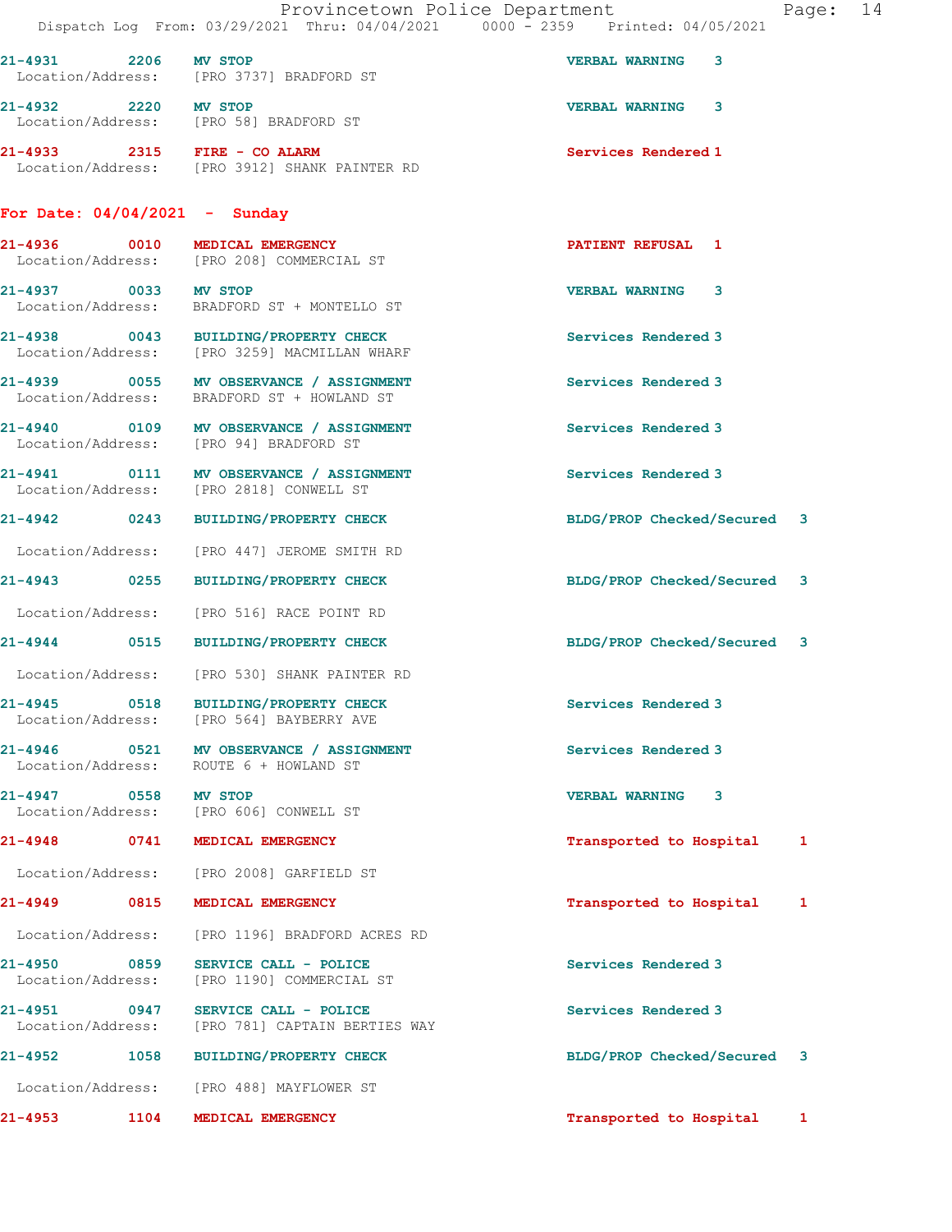|                                 | Provincetown Police Department<br>Dispatch Log From: 03/29/2021 Thru: 04/04/2021 0000 - 2359 Printed: 04/05/2021 |                             | Page: 14 |  |
|---------------------------------|------------------------------------------------------------------------------------------------------------------|-----------------------------|----------|--|
| 21-4931 2206 MV STOP            | Location/Address: [PRO 3737] BRADFORD ST                                                                         | <b>VERBAL WARNING</b><br>3  |          |  |
| 21-4932 2220 MV STOP            | Location/Address: [PRO 58] BRADFORD ST                                                                           | <b>VERBAL WARNING 3</b>     |          |  |
|                                 | 21-4933 2315 FIRE - CO ALARM<br>Location/Address: [PRO 3912] SHANK PAINTER RD                                    | Services Rendered 1         |          |  |
| For Date: $04/04/2021 -$ Sunday |                                                                                                                  |                             |          |  |
|                                 | 21-4936 0010 MEDICAL EMERGENCY<br>Location/Address: [PRO 208] COMMERCIAL ST                                      | <b>PATIENT REFUSAL 1</b>    |          |  |
| 21-4937 0033 MV STOP            | Location/Address: BRADFORD ST + MONTELLO ST                                                                      | <b>VERBAL WARNING 3</b>     |          |  |
|                                 | 21-4938 0043 BUILDING/PROPERTY CHECK<br>Location/Address: [PRO 3259] MACMILLAN WHARF                             | Services Rendered 3         |          |  |
|                                 | 21-4939 0055 MV OBSERVANCE / ASSIGNMENT<br>Location/Address: BRADFORD ST + HOWLAND ST                            | Services Rendered 3         |          |  |
|                                 | 21-4940 0109 MV OBSERVANCE / ASSIGNMENT<br>Location/Address: [PRO 94] BRADFORD ST                                | Services Rendered 3         |          |  |
|                                 | 21-4941 0111 MV OBSERVANCE / ASSIGNMENT<br>Location/Address: [PRO 2818] CONWELL ST                               | Services Rendered 3         |          |  |
|                                 | 21-4942 0243 BUILDING/PROPERTY CHECK                                                                             | BLDG/PROP Checked/Secured 3 |          |  |
|                                 | Location/Address: [PRO 447] JEROME SMITH RD                                                                      |                             |          |  |
|                                 | 21-4943 0255 BUILDING/PROPERTY CHECK                                                                             | BLDG/PROP Checked/Secured 3 |          |  |
|                                 | Location/Address: [PRO 516] RACE POINT RD                                                                        |                             |          |  |
|                                 | 21-4944 0515 BUILDING/PROPERTY CHECK                                                                             | BLDG/PROP Checked/Secured 3 |          |  |
|                                 | Location/Address: [PRO 530] SHANK PAINTER RD                                                                     |                             |          |  |
| 21-4945                         | 0518 BUILDING/PROPERTY CHECK<br>Location/Address: [PRO 564] BAYBERRY AVE                                         | Services Rendered 3         |          |  |
| Location/Address:               | 21-4946 0521 MV OBSERVANCE / ASSIGNMENT<br>ROUTE 6 + HOWLAND ST                                                  | Services Rendered 3         |          |  |
| 21-4947 0558 MV STOP            | Location/Address: [PRO 606] CONWELL ST                                                                           | <b>VERBAL WARNING 3</b>     |          |  |
|                                 | 21-4948 0741 MEDICAL EMERGENCY                                                                                   | Transported to Hospital 1   |          |  |
|                                 | Location/Address: [PRO 2008] GARFIELD ST                                                                         |                             |          |  |
|                                 | 21-4949 0815 MEDICAL EMERGENCY                                                                                   | Transported to Hospital     | 1        |  |
| Location/Address:               | [PRO 1196] BRADFORD ACRES RD                                                                                     |                             |          |  |
| Location/Address:               | 21-4950 0859 SERVICE CALL - POLICE<br>[PRO 1190] COMMERCIAL ST                                                   | Services Rendered 3         |          |  |
| 21-4951 0947                    | SERVICE CALL - POLICE<br>Location/Address: [PRO 781] CAPTAIN BERTIES WAY                                         | Services Rendered 3         |          |  |
|                                 | 21-4952 1058 BUILDING/PROPERTY CHECK                                                                             | BLDG/PROP Checked/Secured 3 |          |  |
|                                 | Location/Address: [PRO 488] MAYFLOWER ST                                                                         |                             |          |  |
|                                 | 21-4953 1104 MEDICAL EMERGENCY                                                                                   | Transported to Hospital     | 1        |  |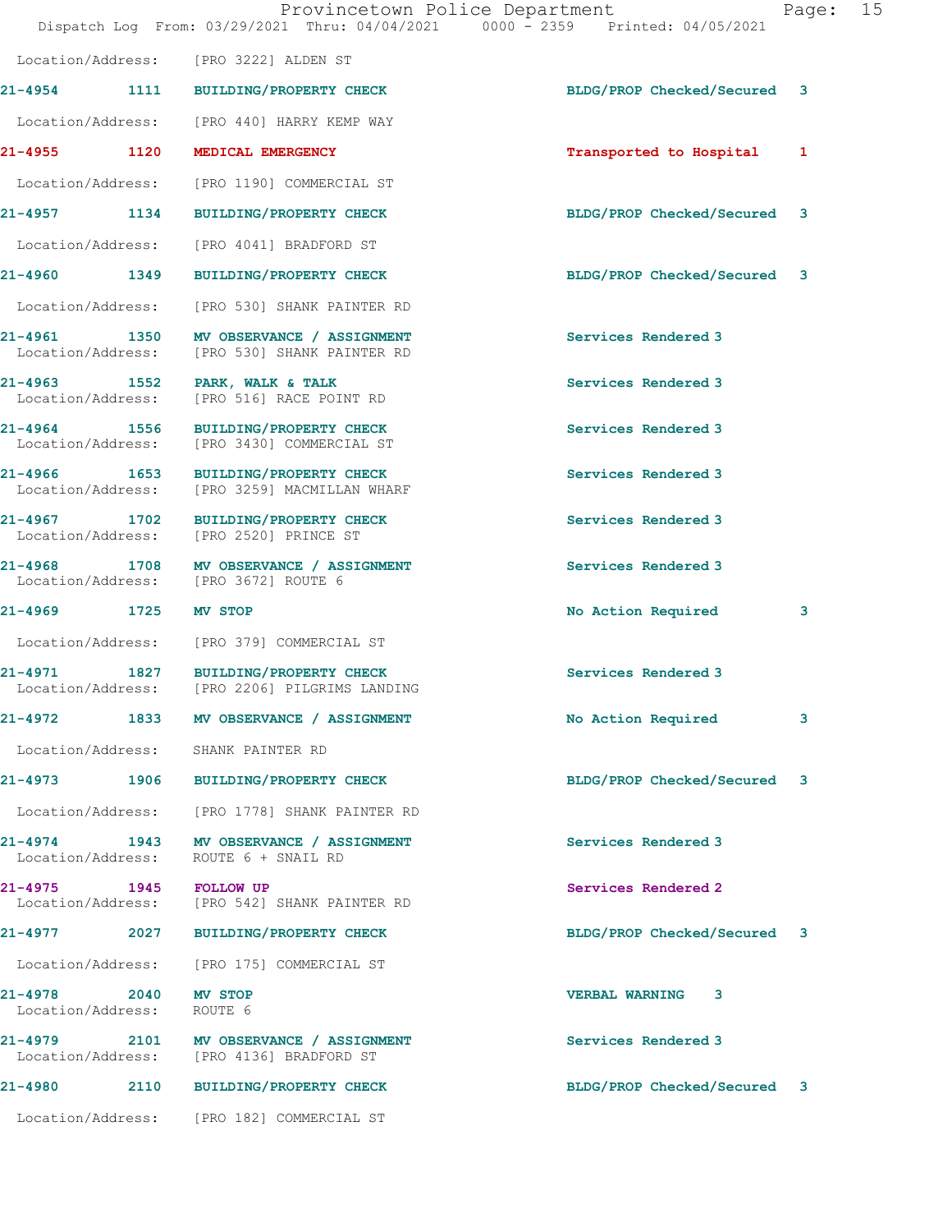|                                   | Dispatch Log From: 03/29/2021 Thru: 04/04/2021 0000 - 2359 Printed: 04/05/2021          | Provincetown Police Department | Page: | 15 |
|-----------------------------------|-----------------------------------------------------------------------------------------|--------------------------------|-------|----|
|                                   | Location/Address: [PRO 3222] ALDEN ST                                                   |                                |       |    |
|                                   | 21-4954 1111 BUILDING/PROPERTY CHECK                                                    | BLDG/PROP Checked/Secured 3    |       |    |
|                                   | Location/Address: [PRO 440] HARRY KEMP WAY                                              |                                |       |    |
| 21-4955 1120                      | MEDICAL EMERGENCY                                                                       | Transported to Hospital        | 1     |    |
|                                   | Location/Address: [PRO 1190] COMMERCIAL ST                                              |                                |       |    |
|                                   | 21-4957 1134 BUILDING/PROPERTY CHECK                                                    | BLDG/PROP Checked/Secured 3    |       |    |
|                                   | Location/Address: [PRO 4041] BRADFORD ST                                                |                                |       |    |
|                                   | 21-4960 1349 BUILDING/PROPERTY CHECK                                                    | BLDG/PROP Checked/Secured 3    |       |    |
|                                   | Location/Address: [PRO 530] SHANK PAINTER RD                                            |                                |       |    |
|                                   | 21-4961 1350 MV OBSERVANCE / ASSIGNMENT<br>Location/Address: [PRO 530] SHANK PAINTER RD | Services Rendered 3            |       |    |
| Location/Address:                 | 21-4963 1552 PARK, WALK & TALK<br>[PRO 516] RACE POINT RD                               | Services Rendered 3            |       |    |
|                                   | 21-4964 1556 BUILDING/PROPERTY CHECK<br>Location/Address: [PRO 3430] COMMERCIAL ST      | Services Rendered 3            |       |    |
| Location/Address:                 | 21-4966 1653 BUILDING/PROPERTY CHECK<br>[PRO 3259] MACMILLAN WHARF                      | Services Rendered 3            |       |    |
| 21-4967                           | 1702 BUILDING/PROPERTY CHECK<br>Location/Address: [PRO 2520] PRINCE ST                  | Services Rendered 3            |       |    |
|                                   | 21-4968 1708 MV OBSERVANCE / ASSIGNMENT<br>Location/Address: [PRO 3672] ROUTE 6         | Services Rendered 3            |       |    |
| 21-4969 1725 MV STOP              |                                                                                         | No Action Required             | 3     |    |
|                                   | Location/Address: [PRO 379] COMMERCIAL ST                                               |                                |       |    |
|                                   | 21-4971 1827 BUILDING/PROPERTY CHECK<br>Location/Address: [PRO 2206] PILGRIMS LANDING   | Services Rendered 3            |       |    |
|                                   | 21-4972 1833 MV OBSERVANCE / ASSIGNMENT                                                 | No Action Required             | 3     |    |
|                                   | Location/Address: SHANK PAINTER RD                                                      |                                |       |    |
|                                   | 21-4973 1906 BUILDING/PROPERTY CHECK                                                    | BLDG/PROP Checked/Secured      | 3     |    |
|                                   | Location/Address: [PRO 1778] SHANK PAINTER RD                                           |                                |       |    |
| Location/Address:                 | 21-4974 1943 MV OBSERVANCE / ASSIGNMENT<br>ROUTE 6 + SNAIL RD                           | Services Rendered 3            |       |    |
|                                   | 21-4975 1945 FOLLOW UP<br>Location/Address: [PRO 542] SHANK PAINTER RD                  | Services Rendered 2            |       |    |
|                                   | 21-4977 2027 BUILDING/PROPERTY CHECK                                                    | BLDG/PROP Checked/Secured 3    |       |    |
|                                   | Location/Address: [PRO 175] COMMERCIAL ST                                               |                                |       |    |
| 21-4978 2040<br>Location/Address: | MV STOP<br>ROUTE 6                                                                      | <b>VERBAL WARNING 3</b>        |       |    |
|                                   | 21-4979 2101 MV OBSERVANCE / ASSIGNMENT<br>Location/Address: [PRO 4136] BRADFORD ST     | Services Rendered 3            |       |    |
|                                   | 21-4980 2110 BUILDING/PROPERTY CHECK                                                    | BLDG/PROP Checked/Secured 3    |       |    |
|                                   | Location/Address: [PRO 182] COMMERCIAL ST                                               |                                |       |    |